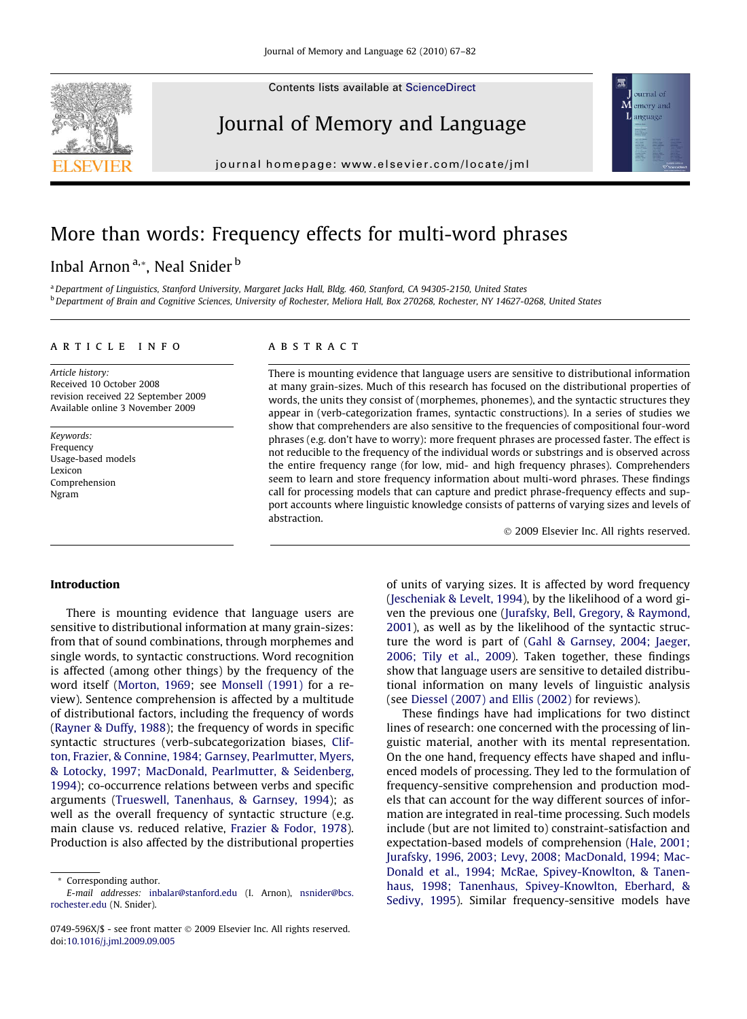Contents lists available at [ScienceDirect](http://www.sciencedirect.com/science/journal/0749596X)





# Journal of Memory and Language

journal homepage: www.el [sevier.com/locate/jml](http://www.elsevier.com/locate/jml)

# More than words: Frequency effects for multi-word phrases

# Inbal Arnon<sup>a,\*</sup>, Neal Snider<sup>b</sup>

a Department of Linguistics, Stanford University, Margaret Jacks Hall, Bldg. 460, Stanford, CA 94305-2150, United States <sup>b</sup> Department of Brain and Cognitive Sciences, University of Rochester, Meliora Hall, Box 270268, Rochester, NY 14627-0268, United States

#### article info

Article history: Received 10 October 2008 revision received 22 September 2009 Available online 3 November 2009

Keywords: Frequency Usage-based models Lexicon Comprehension Ngram

# **ABSTRACT**

There is mounting evidence that language users are sensitive to distributional information at many grain-sizes. Much of this research has focused on the distributional properties of words, the units they consist of (morphemes, phonemes), and the syntactic structures they appear in (verb-categorization frames, syntactic constructions). In a series of studies we show that comprehenders are also sensitive to the frequencies of compositional four-word phrases (e.g. don't have to worry): more frequent phrases are processed faster. The effect is not reducible to the frequency of the individual words or substrings and is observed across the entire frequency range (for low, mid- and high frequency phrases). Comprehenders seem to learn and store frequency information about multi-word phrases. These findings call for processing models that can capture and predict phrase-frequency effects and support accounts where linguistic knowledge consists of patterns of varying sizes and levels of abstraction.

- 2009 Elsevier Inc. All rights reserved.

#### Introduction

There is mounting evidence that language users are sensitive to distributional information at many grain-sizes: from that of sound combinations, through morphemes and single words, to syntactic constructions. Word recognition is affected (among other things) by the frequency of the word itself [\(Morton, 1969;](#page-14-0) see [Monsell \(1991\)](#page-14-0) for a review). Sentence comprehension is affected by a multitude of distributional factors, including the frequency of words ([Rayner & Duffy, 1988](#page-14-0)); the frequency of words in specific syntactic structures (verb-subcategorization biases, [Clif](#page-13-0)[ton, Frazier, & Connine, 1984; Garnsey, Pearlmutter, Myers,](#page-13-0) [& Lotocky, 1997; MacDonald, Pearlmutter, & Seidenberg,](#page-13-0) [1994\)](#page-13-0); co-occurrence relations between verbs and specific arguments ([Trueswell, Tanenhaus, & Garnsey, 1994](#page-15-0)); as well as the overall frequency of syntactic structure (e.g. main clause vs. reduced relative, [Frazier & Fodor, 1978](#page-13-0)). Production is also affected by the distributional properties of units of varying sizes. It is affected by word frequency [\(Jescheniak & Levelt, 1994](#page-14-0)), by the likelihood of a word given the previous one [\(Jurafsky, Bell, Gregory, & Raymond,](#page-14-0) [2001\)](#page-14-0), as well as by the likelihood of the syntactic struc-ture the word is part of [\(Gahl & Garnsey, 2004; Jaeger,](#page-14-0) [2006; Tily et al., 2009\)](#page-14-0). Taken together, these findings show that language users are sensitive to detailed distributional information on many levels of linguistic analysis (see [Diessel \(2007\) and Ellis \(2002\)](#page-13-0) for reviews).

These findings have had implications for two distinct lines of research: one concerned with the processing of linguistic material, another with its mental representation. On the one hand, frequency effects have shaped and influenced models of processing. They led to the formulation of frequency-sensitive comprehension and production models that can account for the way different sources of information are integrated in real-time processing. Such models include (but are not limited to) constraint-satisfaction and expectation-based models of comprehension [\(Hale, 2001;](#page-14-0) [Jurafsky, 1996, 2003; Levy, 2008; MacDonald, 1994; Mac-](#page-14-0)[Donald et al., 1994; McRae, Spivey-Knowlton, & Tanen](#page-14-0)[haus, 1998; Tanenhaus, Spivey-Knowlton, Eberhard, &](#page-14-0) [Sedivy, 1995\)](#page-14-0). Similar frequency-sensitive models have

<sup>\*</sup> Corresponding author.

E-mail addresses: [inbalar@stanford.edu](mailto:inbalar@stanford.edu) (I. Arnon), [nsnider@bcs.](mailto:nsnider@bcs.rochester.edu) [rochester.edu](mailto:nsnider@bcs.rochester.edu) (N. Snider).

<sup>0749-596</sup>X/\$ - see front matter © 2009 Elsevier Inc. All rights reserved. doi:[10.1016/j.jml.2009.09.005](http://dx.doi.org/10.1016/j.jml.2009.09.005)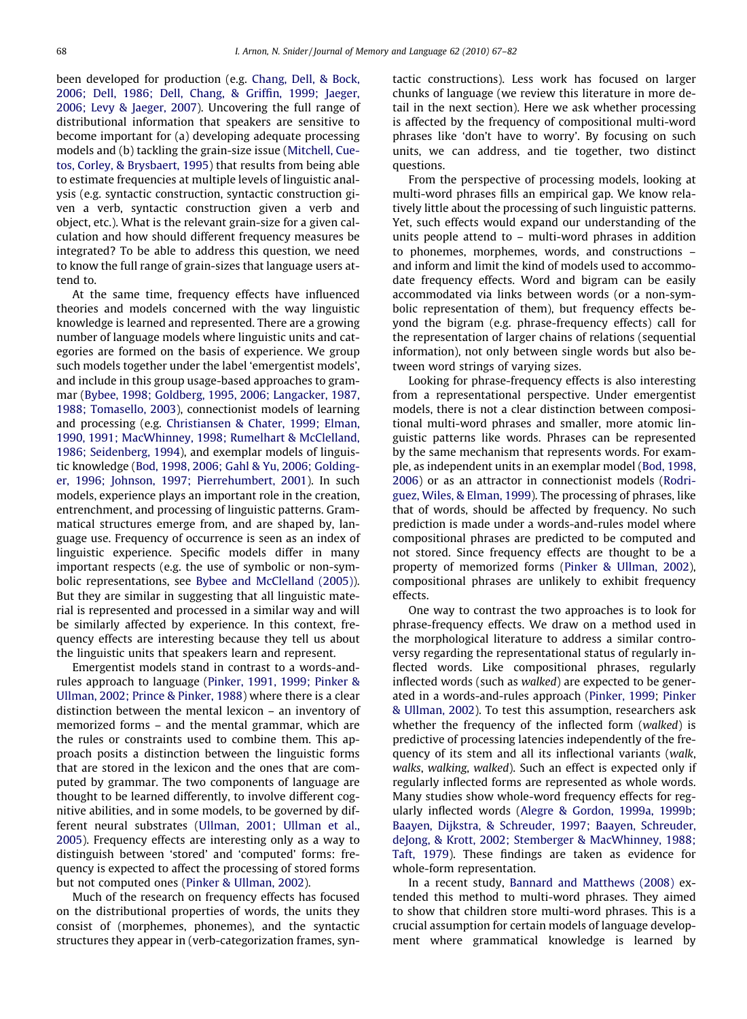been developed for production (e.g. [Chang, Dell, & Bock,](#page-13-0) [2006; Dell, 1986; Dell, Chang, & Griffin, 1999; Jaeger,](#page-13-0) [2006; Levy & Jaeger, 2007\)](#page-13-0). Uncovering the full range of distributional information that speakers are sensitive to become important for (a) developing adequate processing models and (b) tackling the grain-size issue ([Mitchell, Cue](#page-14-0)[tos, Corley, & Brysbaert, 1995](#page-14-0)) that results from being able to estimate frequencies at multiple levels of linguistic analysis (e.g. syntactic construction, syntactic construction given a verb, syntactic construction given a verb and object, etc.). What is the relevant grain-size for a given calculation and how should different frequency measures be integrated? To be able to address this question, we need to know the full range of grain-sizes that language users attend to.

At the same time, frequency effects have influenced theories and models concerned with the way linguistic knowledge is learned and represented. There are a growing number of language models where linguistic units and categories are formed on the basis of experience. We group such models together under the label 'emergentist models', and include in this group usage-based approaches to grammar ([Bybee, 1998; Goldberg, 1995, 2006; Langacker, 1987,](#page-13-0) [1988; Tomasello, 2003\)](#page-13-0), connectionist models of learning and processing (e.g. [Christiansen & Chater, 1999; Elman,](#page-13-0) [1990, 1991; MacWhinney, 1998; Rumelhart & McClelland,](#page-13-0) [1986; Seidenberg, 1994](#page-13-0)), and exemplar models of linguistic knowledge [\(Bod, 1998, 2006; Gahl & Yu, 2006; Golding](#page-13-0)[er, 1996; Johnson, 1997; Pierrehumbert, 2001\)](#page-13-0). In such models, experience plays an important role in the creation, entrenchment, and processing of linguistic patterns. Grammatical structures emerge from, and are shaped by, language use. Frequency of occurrence is seen as an index of linguistic experience. Specific models differ in many important respects (e.g. the use of symbolic or non-symbolic representations, see [Bybee and McClelland \(2005\)](#page-13-0)). But they are similar in suggesting that all linguistic material is represented and processed in a similar way and will be similarly affected by experience. In this context, frequency effects are interesting because they tell us about the linguistic units that speakers learn and represent.

Emergentist models stand in contrast to a words-andrules approach to language ([Pinker, 1991, 1999; Pinker &](#page-14-0) [Ullman, 2002; Prince & Pinker, 1988\)](#page-14-0) where there is a clear distinction between the mental lexicon – an inventory of memorized forms – and the mental grammar, which are the rules or constraints used to combine them. This approach posits a distinction between the linguistic forms that are stored in the lexicon and the ones that are computed by grammar. The two components of language are thought to be learned differently, to involve different cognitive abilities, and in some models, to be governed by different neural substrates [\(Ullman, 2001; Ullman et al.,](#page-15-0) [2005](#page-15-0)). Frequency effects are interesting only as a way to distinguish between 'stored' and 'computed' forms: frequency is expected to affect the processing of stored forms but not computed ones ([Pinker & Ullman, 2002\)](#page-14-0).

Much of the research on frequency effects has focused on the distributional properties of words, the units they consist of (morphemes, phonemes), and the syntactic structures they appear in (verb-categorization frames, syntactic constructions). Less work has focused on larger chunks of language (we review this literature in more detail in the next section). Here we ask whether processing is affected by the frequency of compositional multi-word phrases like 'don't have to worry'. By focusing on such units, we can address, and tie together, two distinct questions.

From the perspective of processing models, looking at multi-word phrases fills an empirical gap. We know relatively little about the processing of such linguistic patterns. Yet, such effects would expand our understanding of the units people attend to – multi-word phrases in addition to phonemes, morphemes, words, and constructions – and inform and limit the kind of models used to accommodate frequency effects. Word and bigram can be easily accommodated via links between words (or a non-symbolic representation of them), but frequency effects beyond the bigram (e.g. phrase-frequency effects) call for the representation of larger chains of relations (sequential information), not only between single words but also between word strings of varying sizes.

Looking for phrase-frequency effects is also interesting from a representational perspective. Under emergentist models, there is not a clear distinction between compositional multi-word phrases and smaller, more atomic linguistic patterns like words. Phrases can be represented by the same mechanism that represents words. For example, as independent units in an exemplar model [\(Bod, 1998,](#page-13-0) [2006](#page-13-0)) or as an attractor in connectionist models ([Rodri](#page-14-0)[guez, Wiles, & Elman, 1999](#page-14-0)). The processing of phrases, like that of words, should be affected by frequency. No such prediction is made under a words-and-rules model where compositional phrases are predicted to be computed and not stored. Since frequency effects are thought to be a property of memorized forms [\(Pinker & Ullman, 2002\)](#page-14-0), compositional phrases are unlikely to exhibit frequency effects.

One way to contrast the two approaches is to look for phrase-frequency effects. We draw on a method used in the morphological literature to address a similar controversy regarding the representational status of regularly inflected words. Like compositional phrases, regularly inflected words (such as walked) are expected to be generated in a words-and-rules approach ([Pinker, 1999;](#page-14-0) [Pinker](#page-14-0) [& Ullman, 2002](#page-14-0)). To test this assumption, researchers ask whether the frequency of the inflected form (walked) is predictive of processing latencies independently of the frequency of its stem and all its inflectional variants (walk, walks, walking, walked). Such an effect is expected only if regularly inflected forms are represented as whole words. Many studies show whole-word frequency effects for regularly inflected words ([Alegre & Gordon, 1999a, 1999b;](#page-13-0) [Baayen, Dijkstra, & Schreuder, 1997; Baayen, Schreuder,](#page-13-0) [deJong, & Krott, 2002; Stemberger & MacWhinney, 1988;](#page-13-0) [Taft, 1979](#page-13-0)). These findings are taken as evidence for whole-form representation.

In a recent study, [Bannard and Matthews \(2008\)](#page-13-0) extended this method to multi-word phrases. They aimed to show that children store multi-word phrases. This is a crucial assumption for certain models of language development where grammatical knowledge is learned by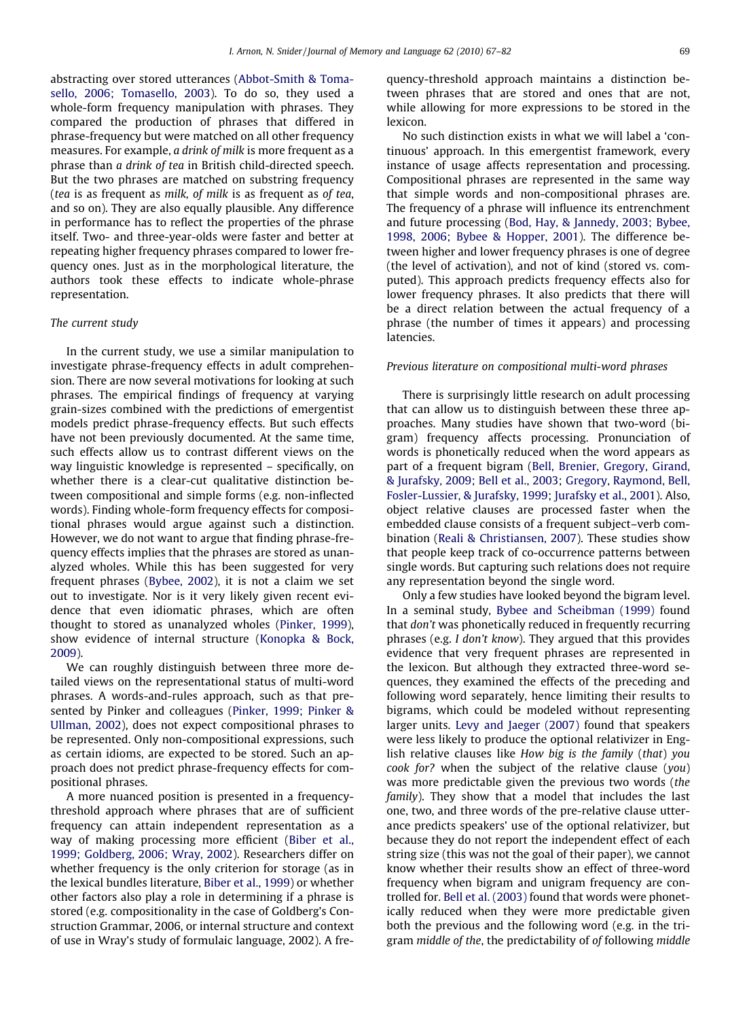abstracting over stored utterances ([Abbot-Smith & Toma](#page-13-0)[sello, 2006; Tomasello, 2003](#page-13-0)). To do so, they used a whole-form frequency manipulation with phrases. They compared the production of phrases that differed in phrase-frequency but were matched on all other frequency measures. For example, a drink of milk is more frequent as a phrase than a drink of tea in British child-directed speech. But the two phrases are matched on substring frequency (tea is as frequent as milk, of milk is as frequent as of tea, and so on). They are also equally plausible. Any difference in performance has to reflect the properties of the phrase itself. Two- and three-year-olds were faster and better at repeating higher frequency phrases compared to lower frequency ones. Just as in the morphological literature, the authors took these effects to indicate whole-phrase representation.

#### The current study

In the current study, we use a similar manipulation to investigate phrase-frequency effects in adult comprehension. There are now several motivations for looking at such phrases. The empirical findings of frequency at varying grain-sizes combined with the predictions of emergentist models predict phrase-frequency effects. But such effects have not been previously documented. At the same time, such effects allow us to contrast different views on the way linguistic knowledge is represented – specifically, on whether there is a clear-cut qualitative distinction between compositional and simple forms (e.g. non-inflected words). Finding whole-form frequency effects for compositional phrases would argue against such a distinction. However, we do not want to argue that finding phrase-frequency effects implies that the phrases are stored as unanalyzed wholes. While this has been suggested for very frequent phrases ([Bybee, 2002\)](#page-13-0), it is not a claim we set out to investigate. Nor is it very likely given recent evidence that even idiomatic phrases, which are often thought to stored as unanalyzed wholes [\(Pinker, 1999](#page-14-0)), show evidence of internal structure ([Konopka & Bock,](#page-14-0) [2009\)](#page-14-0).

We can roughly distinguish between three more detailed views on the representational status of multi-word phrases. A words-and-rules approach, such as that presented by Pinker and colleagues ([Pinker, 1999; Pinker &](#page-14-0) [Ullman, 2002](#page-14-0)), does not expect compositional phrases to be represented. Only non-compositional expressions, such as certain idioms, are expected to be stored. Such an approach does not predict phrase-frequency effects for compositional phrases.

A more nuanced position is presented in a frequencythreshold approach where phrases that are of sufficient frequency can attain independent representation as a way of making processing more efficient ([Biber et al.,](#page-13-0) [1999; Goldberg, 2006; Wray, 2002\)](#page-13-0). Researchers differ on whether frequency is the only criterion for storage (as in the lexical bundles literature, [Biber et al., 1999](#page-13-0)) or whether other factors also play a role in determining if a phrase is stored (e.g. compositionality in the case of Goldberg's Construction Grammar, 2006, or internal structure and context of use in Wray's study of formulaic language, 2002). A frequency-threshold approach maintains a distinction between phrases that are stored and ones that are not, while allowing for more expressions to be stored in the lexicon.

No such distinction exists in what we will label a 'continuous' approach. In this emergentist framework, every instance of usage affects representation and processing. Compositional phrases are represented in the same way that simple words and non-compositional phrases are. The frequency of a phrase will influence its entrenchment and future processing [\(Bod, Hay, & Jannedy, 2003; Bybee,](#page-13-0) [1998, 2006; Bybee & Hopper, 2001](#page-13-0)). The difference between higher and lower frequency phrases is one of degree (the level of activation), and not of kind (stored vs. computed). This approach predicts frequency effects also for lower frequency phrases. It also predicts that there will be a direct relation between the actual frequency of a phrase (the number of times it appears) and processing latencies.

#### Previous literature on compositional multi-word phrases

There is surprisingly little research on adult processing that can allow us to distinguish between these three approaches. Many studies have shown that two-word (bigram) frequency affects processing. Pronunciation of words is phonetically reduced when the word appears as part of a frequent bigram [\(Bell, Brenier, Gregory, Girand,](#page-13-0) [& Jurafsky, 2009; Bell et al., 2003](#page-13-0); [Gregory, Raymond, Bell,](#page-14-0) [Fosler-Lussier, & Jurafsky, 1999](#page-14-0); [Jurafsky et al., 2001](#page-14-0)). Also, object relative clauses are processed faster when the embedded clause consists of a frequent subject–verb combination ([Reali & Christiansen, 2007](#page-14-0)). These studies show that people keep track of co-occurrence patterns between single words. But capturing such relations does not require any representation beyond the single word.

Only a few studies have looked beyond the bigram level. In a seminal study, [Bybee and Scheibman \(1999\)](#page-13-0) found that don't was phonetically reduced in frequently recurring phrases (e.g. I don't know). They argued that this provides evidence that very frequent phrases are represented in the lexicon. But although they extracted three-word sequences, they examined the effects of the preceding and following word separately, hence limiting their results to bigrams, which could be modeled without representing larger units. [Levy and Jaeger \(2007\)](#page-14-0) found that speakers were less likely to produce the optional relativizer in English relative clauses like How big is the family (that) you cook for? when the subject of the relative clause (you) was more predictable given the previous two words (the family). They show that a model that includes the last one, two, and three words of the pre-relative clause utterance predicts speakers' use of the optional relativizer, but because they do not report the independent effect of each string size (this was not the goal of their paper), we cannot know whether their results show an effect of three-word frequency when bigram and unigram frequency are controlled for. [Bell et al. \(2003\)](#page-13-0) found that words were phonetically reduced when they were more predictable given both the previous and the following word (e.g. in the trigram middle of the, the predictability of of following middle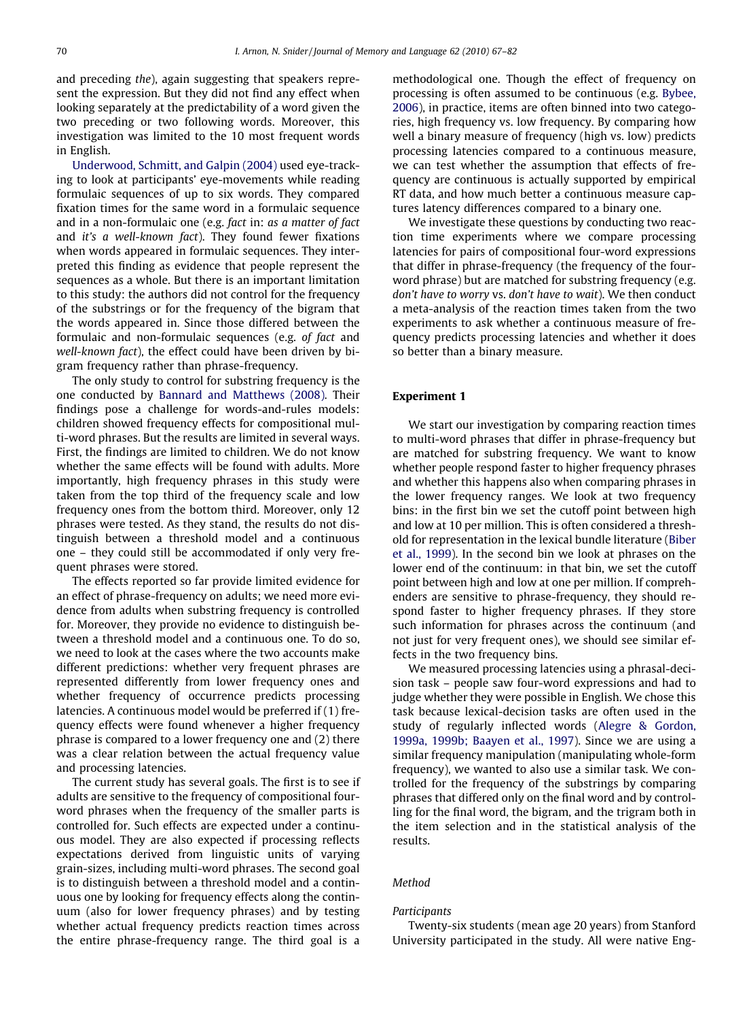and preceding the), again suggesting that speakers represent the expression. But they did not find any effect when looking separately at the predictability of a word given the two preceding or two following words. Moreover, this investigation was limited to the 10 most frequent words in English.

[Underwood, Schmitt, and Galpin \(2004\)](#page-15-0) used eye-tracking to look at participants' eye-movements while reading formulaic sequences of up to six words. They compared fixation times for the same word in a formulaic sequence and in a non-formulaic one (e.g. fact in: as a matter of fact and it's a well-known fact). They found fewer fixations when words appeared in formulaic sequences. They interpreted this finding as evidence that people represent the sequences as a whole. But there is an important limitation to this study: the authors did not control for the frequency of the substrings or for the frequency of the bigram that the words appeared in. Since those differed between the formulaic and non-formulaic sequences (e.g. of fact and well-known fact), the effect could have been driven by bigram frequency rather than phrase-frequency.

The only study to control for substring frequency is the one conducted by [Bannard and Matthews \(2008\).](#page-13-0) Their findings pose a challenge for words-and-rules models: children showed frequency effects for compositional multi-word phrases. But the results are limited in several ways. First, the findings are limited to children. We do not know whether the same effects will be found with adults. More importantly, high frequency phrases in this study were taken from the top third of the frequency scale and low frequency ones from the bottom third. Moreover, only 12 phrases were tested. As they stand, the results do not distinguish between a threshold model and a continuous one – they could still be accommodated if only very frequent phrases were stored.

The effects reported so far provide limited evidence for an effect of phrase-frequency on adults; we need more evidence from adults when substring frequency is controlled for. Moreover, they provide no evidence to distinguish between a threshold model and a continuous one. To do so, we need to look at the cases where the two accounts make different predictions: whether very frequent phrases are represented differently from lower frequency ones and whether frequency of occurrence predicts processing latencies. A continuous model would be preferred if (1) frequency effects were found whenever a higher frequency phrase is compared to a lower frequency one and (2) there was a clear relation between the actual frequency value and processing latencies.

The current study has several goals. The first is to see if adults are sensitive to the frequency of compositional fourword phrases when the frequency of the smaller parts is controlled for. Such effects are expected under a continuous model. They are also expected if processing reflects expectations derived from linguistic units of varying grain-sizes, including multi-word phrases. The second goal is to distinguish between a threshold model and a continuous one by looking for frequency effects along the continuum (also for lower frequency phrases) and by testing whether actual frequency predicts reaction times across the entire phrase-frequency range. The third goal is a

methodological one. Though the effect of frequency on processing is often assumed to be continuous (e.g. [Bybee,](#page-13-0) [2006](#page-13-0)), in practice, items are often binned into two categories, high frequency vs. low frequency. By comparing how well a binary measure of frequency (high vs. low) predicts processing latencies compared to a continuous measure, we can test whether the assumption that effects of frequency are continuous is actually supported by empirical RT data, and how much better a continuous measure captures latency differences compared to a binary one.

We investigate these questions by conducting two reaction time experiments where we compare processing latencies for pairs of compositional four-word expressions that differ in phrase-frequency (the frequency of the fourword phrase) but are matched for substring frequency (e.g. don't have to worry vs. don't have to wait). We then conduct a meta-analysis of the reaction times taken from the two experiments to ask whether a continuous measure of frequency predicts processing latencies and whether it does so better than a binary measure.

#### Experiment 1

We start our investigation by comparing reaction times to multi-word phrases that differ in phrase-frequency but are matched for substring frequency. We want to know whether people respond faster to higher frequency phrases and whether this happens also when comparing phrases in the lower frequency ranges. We look at two frequency bins: in the first bin we set the cutoff point between high and low at 10 per million. This is often considered a threshold for representation in the lexical bundle literature ([Biber](#page-13-0) [et al., 1999](#page-13-0)). In the second bin we look at phrases on the lower end of the continuum: in that bin, we set the cutoff point between high and low at one per million. If comprehenders are sensitive to phrase-frequency, they should respond faster to higher frequency phrases. If they store such information for phrases across the continuum (and not just for very frequent ones), we should see similar effects in the two frequency bins.

We measured processing latencies using a phrasal-decision task – people saw four-word expressions and had to judge whether they were possible in English. We chose this task because lexical-decision tasks are often used in the study of regularly inflected words [\(Alegre & Gordon,](#page-13-0) [1999a, 1999b; Baayen et al., 1997\)](#page-13-0). Since we are using a similar frequency manipulation (manipulating whole-form frequency), we wanted to also use a similar task. We controlled for the frequency of the substrings by comparing phrases that differed only on the final word and by controlling for the final word, the bigram, and the trigram both in the item selection and in the statistical analysis of the results.

# Method

#### Participants

Twenty-six students (mean age 20 years) from Stanford University participated in the study. All were native Eng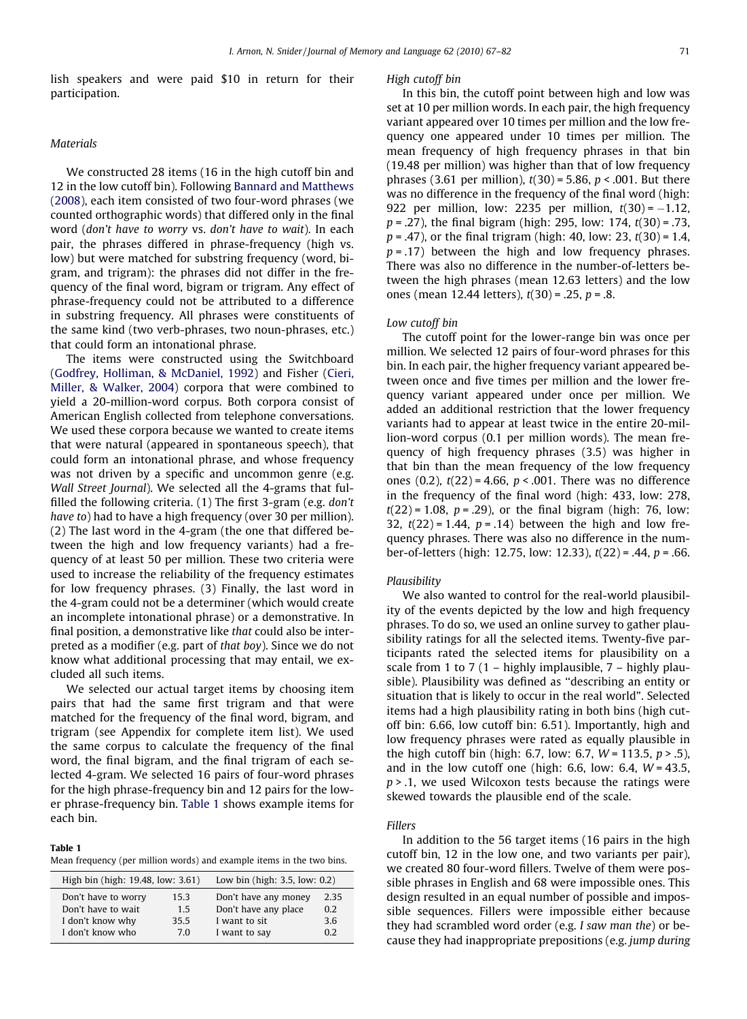lish speakers and were paid \$10 in return for their participation.

# Materials

We constructed 28 items (16 in the high cutoff bin and 12 in the low cutoff bin). Following [Bannard and Matthews](#page-13-0) [\(2008\),](#page-13-0) each item consisted of two four-word phrases (we counted orthographic words) that differed only in the final word (don't have to worry vs. don't have to wait). In each pair, the phrases differed in phrase-frequency (high vs. low) but were matched for substring frequency (word, bigram, and trigram): the phrases did not differ in the frequency of the final word, bigram or trigram. Any effect of phrase-frequency could not be attributed to a difference in substring frequency. All phrases were constituents of the same kind (two verb-phrases, two noun-phrases, etc.) that could form an intonational phrase.

The items were constructed using the Switchboard ([Godfrey, Holliman, & McDaniel, 1992](#page-14-0)) and Fisher ([Cieri,](#page-13-0) [Miller, & Walker, 2004](#page-13-0)) corpora that were combined to yield a 20-million-word corpus. Both corpora consist of American English collected from telephone conversations. We used these corpora because we wanted to create items that were natural (appeared in spontaneous speech), that could form an intonational phrase, and whose frequency was not driven by a specific and uncommon genre (e.g. Wall Street Journal). We selected all the 4-grams that fulfilled the following criteria. (1) The first 3-gram (e.g. don't have to) had to have a high frequency (over 30 per million). (2) The last word in the 4-gram (the one that differed between the high and low frequency variants) had a frequency of at least 50 per million. These two criteria were used to increase the reliability of the frequency estimates for low frequency phrases. (3) Finally, the last word in the 4-gram could not be a determiner (which would create an incomplete intonational phrase) or a demonstrative. In final position, a demonstrative like that could also be interpreted as a modifier (e.g. part of that boy). Since we do not know what additional processing that may entail, we excluded all such items.

We selected our actual target items by choosing item pairs that had the same first trigram and that were matched for the frequency of the final word, bigram, and trigram (see Appendix for complete item list). We used the same corpus to calculate the frequency of the final word, the final bigram, and the final trigram of each selected 4-gram. We selected 16 pairs of four-word phrases for the high phrase-frequency bin and 12 pairs for the lower phrase-frequency bin. Table 1 shows example items for each bin.

#### Table 1

Mean frequency (per million words) and example items in the two bins.

| 15.3 | Don't have any money              | 2.35                                |
|------|-----------------------------------|-------------------------------------|
| 15   | Don't have any place              | 0.2                                 |
| 35.5 | I want to sit                     | 3.6                                 |
| 7 Q  | I want to say                     | 02                                  |
|      | High bin (high: 19.48, low: 3.61) | Low bin (high: $3.5$ , low: $0.2$ ) |

#### High cutoff bin

In this bin, the cutoff point between high and low was set at 10 per million words. In each pair, the high frequency variant appeared over 10 times per million and the low frequency one appeared under 10 times per million. The mean frequency of high frequency phrases in that bin (19.48 per million) was higher than that of low frequency phrases (3.61 per million),  $t(30) = 5.86$ ,  $p < .001$ . But there was no difference in the frequency of the final word (high: 922 per million, low: 2235 per million,  $t(30) = -1.12$ ,  $p = 0.27$ , the final bigram (high: 295, low: 174,  $t(30) = 0.73$ ,  $p = .47$ ), or the final trigram (high: 40, low: 23,  $t(30) = 1.4$ ,  $p = .17$ ) between the high and low frequency phrases. There was also no difference in the number-of-letters between the high phrases (mean 12.63 letters) and the low ones (mean 12.44 letters),  $t(30) = .25$ ,  $p = .8$ .

#### Low cutoff bin

The cutoff point for the lower-range bin was once per million. We selected 12 pairs of four-word phrases for this bin. In each pair, the higher frequency variant appeared between once and five times per million and the lower frequency variant appeared under once per million. We added an additional restriction that the lower frequency variants had to appear at least twice in the entire 20-million-word corpus (0.1 per million words). The mean frequency of high frequency phrases (3.5) was higher in that bin than the mean frequency of the low frequency ones  $(0.2)$ ,  $t(22) = 4.66$ ,  $p < .001$ . There was no difference in the frequency of the final word (high: 433, low: 278,  $t(22) = 1.08$ ,  $p = .29$ ), or the final bigram (high: 76, low: 32,  $t(22) = 1.44$ ,  $p = .14$ ) between the high and low frequency phrases. There was also no difference in the number-of-letters (high: 12.75, low: 12.33),  $t(22) = .44$ ,  $p = .66$ .

#### Plausibility

We also wanted to control for the real-world plausibility of the events depicted by the low and high frequency phrases. To do so, we used an online survey to gather plausibility ratings for all the selected items. Twenty-five participants rated the selected items for plausibility on a scale from 1 to 7  $(1 -$  highly implausible,  $7 -$  highly plausible). Plausibility was defined as ''describing an entity or situation that is likely to occur in the real world". Selected items had a high plausibility rating in both bins (high cutoff bin: 6.66, low cutoff bin: 6.51). Importantly, high and low frequency phrases were rated as equally plausible in the high cutoff bin (high: 6.7, low: 6.7,  $W = 113.5, p > .5$ ), and in the low cutoff one (high: 6.6, low: 6.4,  $W = 43.5$ ,  $p > 0.1$ , we used Wilcoxon tests because the ratings were skewed towards the plausible end of the scale.

#### Fillers

In addition to the 56 target items (16 pairs in the high cutoff bin, 12 in the low one, and two variants per pair), we created 80 four-word fillers. Twelve of them were possible phrases in English and 68 were impossible ones. This design resulted in an equal number of possible and impossible sequences. Fillers were impossible either because they had scrambled word order (e.g. I saw man the) or because they had inappropriate prepositions (e.g. jump during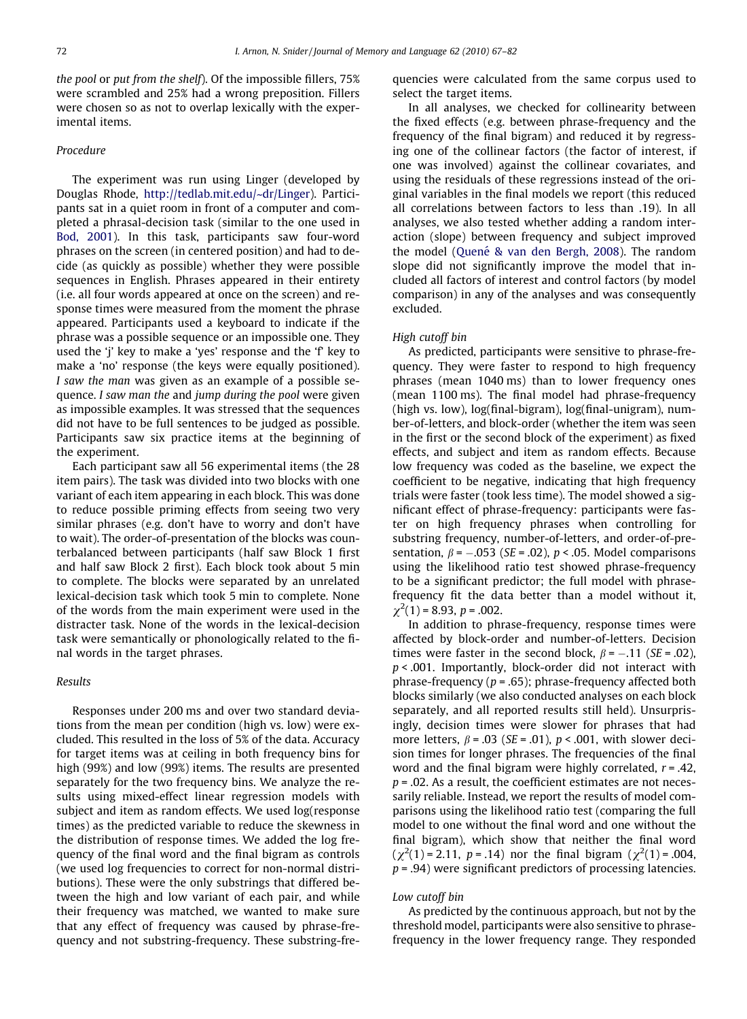the pool or put from the shelf). Of the impossible fillers, 75% were scrambled and 25% had a wrong preposition. Fillers were chosen so as not to overlap lexically with the experimental items.

#### Procedure

The experiment was run using Linger (developed by Douglas Rhode, [http://tedlab.mit.edu/~dr/Linger\)](http://tedlab.mit.edu/~dr/Linger). Participants sat in a quiet room in front of a computer and completed a phrasal-decision task (similar to the one used in [Bod, 2001](#page-13-0)). In this task, participants saw four-word phrases on the screen (in centered position) and had to decide (as quickly as possible) whether they were possible sequences in English. Phrases appeared in their entirety (i.e. all four words appeared at once on the screen) and response times were measured from the moment the phrase appeared. Participants used a keyboard to indicate if the phrase was a possible sequence or an impossible one. They used the 'j' key to make a 'yes' response and the 'f' key to make a 'no' response (the keys were equally positioned). I saw the man was given as an example of a possible sequence. I saw man the and jump during the pool were given as impossible examples. It was stressed that the sequences did not have to be full sentences to be judged as possible. Participants saw six practice items at the beginning of the experiment.

Each participant saw all 56 experimental items (the 28 item pairs). The task was divided into two blocks with one variant of each item appearing in each block. This was done to reduce possible priming effects from seeing two very similar phrases (e.g. don't have to worry and don't have to wait). The order-of-presentation of the blocks was counterbalanced between participants (half saw Block 1 first and half saw Block 2 first). Each block took about 5 min to complete. The blocks were separated by an unrelated lexical-decision task which took 5 min to complete. None of the words from the main experiment were used in the distracter task. None of the words in the lexical-decision task were semantically or phonologically related to the final words in the target phrases.

#### Results

Responses under 200 ms and over two standard deviations from the mean per condition (high vs. low) were excluded. This resulted in the loss of 5% of the data. Accuracy for target items was at ceiling in both frequency bins for high (99%) and low (99%) items. The results are presented separately for the two frequency bins. We analyze the results using mixed-effect linear regression models with subject and item as random effects. We used log(response times) as the predicted variable to reduce the skewness in the distribution of response times. We added the log frequency of the final word and the final bigram as controls (we used log frequencies to correct for non-normal distributions). These were the only substrings that differed between the high and low variant of each pair, and while their frequency was matched, we wanted to make sure that any effect of frequency was caused by phrase-frequency and not substring-frequency. These substring-frequencies were calculated from the same corpus used to select the target items.

In all analyses, we checked for collinearity between the fixed effects (e.g. between phrase-frequency and the frequency of the final bigram) and reduced it by regressing one of the collinear factors (the factor of interest, if one was involved) against the collinear covariates, and using the residuals of these regressions instead of the original variables in the final models we report (this reduced all correlations between factors to less than .19). In all analyses, we also tested whether adding a random interaction (slope) between frequency and subject improved the model (Quené [& van den Bergh, 2008\)](#page-14-0). The random slope did not significantly improve the model that included all factors of interest and control factors (by model comparison) in any of the analyses and was consequently excluded.

### High cutoff bin

As predicted, participants were sensitive to phrase-frequency. They were faster to respond to high frequency phrases (mean 1040 ms) than to lower frequency ones (mean 1100 ms). The final model had phrase-frequency (high vs. low), log(final-bigram), log(final-unigram), number-of-letters, and block-order (whether the item was seen in the first or the second block of the experiment) as fixed effects, and subject and item as random effects. Because low frequency was coded as the baseline, we expect the coefficient to be negative, indicating that high frequency trials were faster (took less time). The model showed a significant effect of phrase-frequency: participants were faster on high frequency phrases when controlling for substring frequency, number-of-letters, and order-of-presentation,  $\beta$  = -.053 (SE = .02),  $p$  < .05. Model comparisons using the likelihood ratio test showed phrase-frequency to be a significant predictor; the full model with phrasefrequency fit the data better than a model without it,  $\chi^2(1) = 8.93, p = .002.$ 

In addition to phrase-frequency, response times were affected by block-order and number-of-letters. Decision times were faster in the second block,  $\beta = -.11$  (SE = .02), p < .001. Importantly, block-order did not interact with phrase-frequency ( $p = .65$ ); phrase-frequency affected both blocks similarly (we also conducted analyses on each block separately, and all reported results still held). Unsurprisingly, decision times were slower for phrases that had more letters,  $\beta$  = .03 (*SE* = .01),  $p$  < .001, with slower decision times for longer phrases. The frequencies of the final word and the final bigram were highly correlated,  $r = .42$ ,  $p = 0.02$ . As a result, the coefficient estimates are not necessarily reliable. Instead, we report the results of model comparisons using the likelihood ratio test (comparing the full model to one without the final word and one without the final bigram), which show that neither the final word  $(\chi^2(1) = 2.11, p = .14)$  nor the final bigram  $(\chi^2(1) = .004,$  $p = .94$ ) were significant predictors of processing latencies.

#### Low cutoff bin

As predicted by the continuous approach, but not by the threshold model, participants were also sensitive to phrasefrequency in the lower frequency range. They responded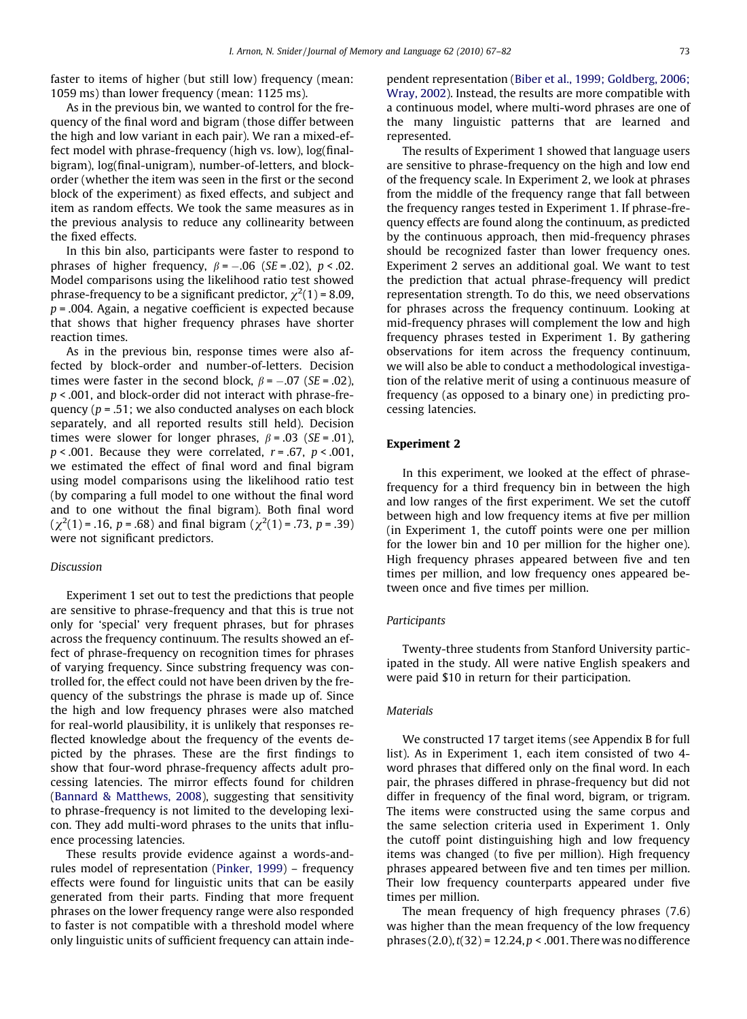faster to items of higher (but still low) frequency (mean: 1059 ms) than lower frequency (mean: 1125 ms).

As in the previous bin, we wanted to control for the frequency of the final word and bigram (those differ between the high and low variant in each pair). We ran a mixed-effect model with phrase-frequency (high vs. low), log(finalbigram), log(final-unigram), number-of-letters, and blockorder (whether the item was seen in the first or the second block of the experiment) as fixed effects, and subject and item as random effects. We took the same measures as in the previous analysis to reduce any collinearity between the fixed effects.

In this bin also, participants were faster to respond to phrases of higher frequency,  $\beta$  = –.06 (SE = .02),  $p$  < .02. Model comparisons using the likelihood ratio test showed phrase-frequency to be a significant predictor,  $\chi^2(1)$  = 8.09,  $p = 0.004$ . Again, a negative coefficient is expected because that shows that higher frequency phrases have shorter reaction times.

As in the previous bin, response times were also affected by block-order and number-of-letters. Decision times were faster in the second block,  $\beta$  = -.07 (SE = .02), p < .001, and block-order did not interact with phrase-frequency ( $p = .51$ ; we also conducted analyses on each block separately, and all reported results still held). Decision times were slower for longer phrases,  $\beta = .03$  (SE = .01),  $p < .001$ . Because they were correlated,  $r = .67$ ,  $p < .001$ , we estimated the effect of final word and final bigram using model comparisons using the likelihood ratio test (by comparing a full model to one without the final word and to one without the final bigram). Both final word  $(\chi^2(1)$  = .16, p = .68) and final bigram  $(\chi^2(1)$  = .73, p = .39) were not significant predictors.

#### Discussion

Experiment 1 set out to test the predictions that people are sensitive to phrase-frequency and that this is true not only for 'special' very frequent phrases, but for phrases across the frequency continuum. The results showed an effect of phrase-frequency on recognition times for phrases of varying frequency. Since substring frequency was controlled for, the effect could not have been driven by the frequency of the substrings the phrase is made up of. Since the high and low frequency phrases were also matched for real-world plausibility, it is unlikely that responses reflected knowledge about the frequency of the events depicted by the phrases. These are the first findings to show that four-word phrase-frequency affects adult processing latencies. The mirror effects found for children ([Bannard & Matthews, 2008](#page-13-0)), suggesting that sensitivity to phrase-frequency is not limited to the developing lexicon. They add multi-word phrases to the units that influence processing latencies.

These results provide evidence against a words-andrules model of representation ([Pinker, 1999](#page-14-0)) – frequency effects were found for linguistic units that can be easily generated from their parts. Finding that more frequent phrases on the lower frequency range were also responded to faster is not compatible with a threshold model where only linguistic units of sufficient frequency can attain inde-

pendent representation [\(Biber et al., 1999; Goldberg, 2006;](#page-13-0) [Wray, 2002](#page-13-0)). Instead, the results are more compatible with a continuous model, where multi-word phrases are one of the many linguistic patterns that are learned and represented.

The results of Experiment 1 showed that language users are sensitive to phrase-frequency on the high and low end of the frequency scale. In Experiment 2, we look at phrases from the middle of the frequency range that fall between the frequency ranges tested in Experiment 1. If phrase-frequency effects are found along the continuum, as predicted by the continuous approach, then mid-frequency phrases should be recognized faster than lower frequency ones. Experiment 2 serves an additional goal. We want to test the prediction that actual phrase-frequency will predict representation strength. To do this, we need observations for phrases across the frequency continuum. Looking at mid-frequency phrases will complement the low and high frequency phrases tested in Experiment 1. By gathering observations for item across the frequency continuum, we will also be able to conduct a methodological investigation of the relative merit of using a continuous measure of frequency (as opposed to a binary one) in predicting processing latencies.

# Experiment 2

In this experiment, we looked at the effect of phrasefrequency for a third frequency bin in between the high and low ranges of the first experiment. We set the cutoff between high and low frequency items at five per million (in Experiment 1, the cutoff points were one per million for the lower bin and 10 per million for the higher one). High frequency phrases appeared between five and ten times per million, and low frequency ones appeared between once and five times per million.

#### Participants

Twenty-three students from Stanford University participated in the study. All were native English speakers and were paid \$10 in return for their participation.

#### Materials

We constructed 17 target items (see Appendix B for full list). As in Experiment 1, each item consisted of two 4 word phrases that differed only on the final word. In each pair, the phrases differed in phrase-frequency but did not differ in frequency of the final word, bigram, or trigram. The items were constructed using the same corpus and the same selection criteria used in Experiment 1. Only the cutoff point distinguishing high and low frequency items was changed (to five per million). High frequency phrases appeared between five and ten times per million. Their low frequency counterparts appeared under five times per million.

The mean frequency of high frequency phrases (7.6) was higher than the mean frequency of the low frequency phrases (2.0),  $t(32) = 12.24$ ,  $p < .001$ . There was no difference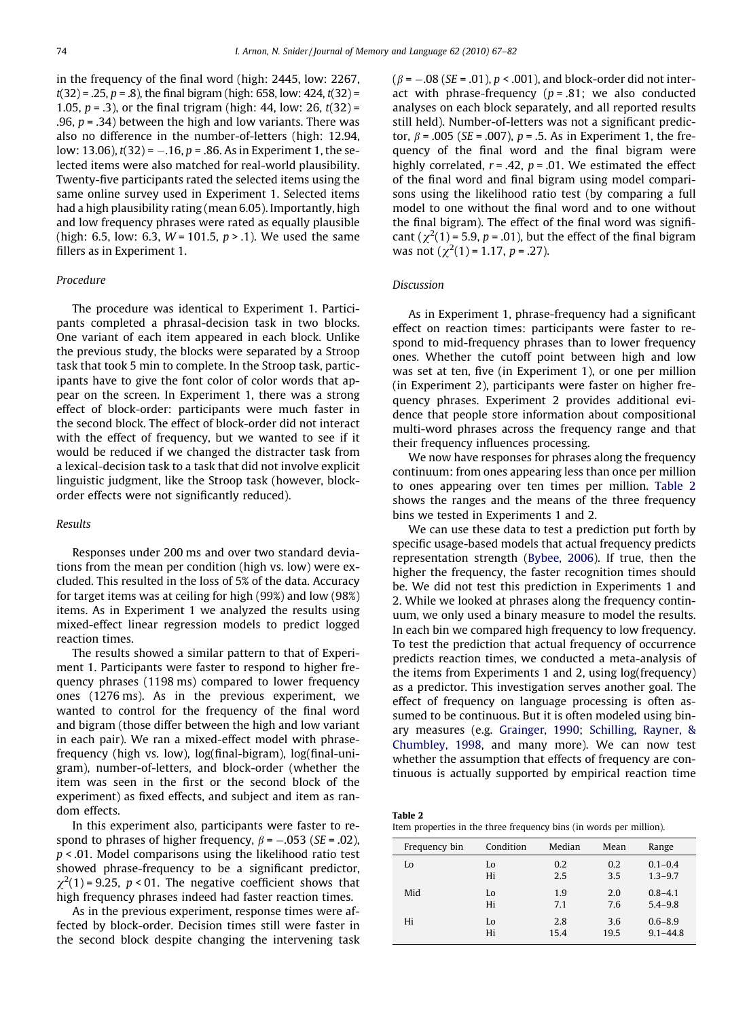in the frequency of the final word (high: 2445, low: 2267,  $t(32) = .25, p = .8$ ), the final bigram (high: 658, low: 424,  $t(32) =$ 1.05,  $p = .3$ ), or the final trigram (high: 44, low: 26,  $t(32) =$ .96,  $p = .34$ ) between the high and low variants. There was also no difference in the number-of-letters (high: 12.94, low: 13.06),  $t(32)$  =  $-.16$ ,  $p$  = .86. As in Experiment 1, the selected items were also matched for real-world plausibility. Twenty-five participants rated the selected items using the same online survey used in Experiment 1. Selected items had a high plausibility rating (mean 6.05). Importantly, high and low frequency phrases were rated as equally plausible (high: 6.5, low: 6.3,  $W = 101.5$ ,  $p > 0.1$ ). We used the same fillers as in Experiment 1.

#### Procedure

The procedure was identical to Experiment 1. Participants completed a phrasal-decision task in two blocks. One variant of each item appeared in each block. Unlike the previous study, the blocks were separated by a Stroop task that took 5 min to complete. In the Stroop task, participants have to give the font color of color words that appear on the screen. In Experiment 1, there was a strong effect of block-order: participants were much faster in the second block. The effect of block-order did not interact with the effect of frequency, but we wanted to see if it would be reduced if we changed the distracter task from a lexical-decision task to a task that did not involve explicit linguistic judgment, like the Stroop task (however, blockorder effects were not significantly reduced).

#### Results

Responses under 200 ms and over two standard deviations from the mean per condition (high vs. low) were excluded. This resulted in the loss of 5% of the data. Accuracy for target items was at ceiling for high (99%) and low (98%) items. As in Experiment 1 we analyzed the results using mixed-effect linear regression models to predict logged reaction times.

The results showed a similar pattern to that of Experiment 1. Participants were faster to respond to higher frequency phrases (1198 ms) compared to lower frequency ones (1276 ms). As in the previous experiment, we wanted to control for the frequency of the final word and bigram (those differ between the high and low variant in each pair). We ran a mixed-effect model with phrasefrequency (high vs. low), log(final-bigram), log(final-unigram), number-of-letters, and block-order (whether the item was seen in the first or the second block of the experiment) as fixed effects, and subject and item as random effects.

In this experiment also, participants were faster to respond to phrases of higher frequency,  $\beta$  =  $-.053$  (SE = .02),  $p < .01$ . Model comparisons using the likelihood ratio test showed phrase-frequency to be a significant predictor,  $\chi^2(1)$  = 9.25, p < 01. The negative coefficient shows that high frequency phrases indeed had faster reaction times.

As in the previous experiment, response times were affected by block-order. Decision times still were faster in the second block despite changing the intervening task

 $(\beta = -.08 \ (SE = .01), p < .001)$ , and block-order did not interact with phrase-frequency  $(p=.81;$  we also conducted analyses on each block separately, and all reported results still held). Number-of-letters was not a significant predictor,  $\beta$  = .005 (*SE* = .007),  $p$  = .5. As in Experiment 1, the frequency of the final word and the final bigram were highly correlated,  $r = .42$ ,  $p = .01$ . We estimated the effect of the final word and final bigram using model comparisons using the likelihood ratio test (by comparing a full model to one without the final word and to one without the final bigram). The effect of the final word was significant ( $\chi^2(1)$  = 5.9, p = .01), but the effect of the final bigram was not  $(\chi^2(1) = 1.17, p = .27)$ .

#### Discussion

As in Experiment 1, phrase-frequency had a significant effect on reaction times: participants were faster to respond to mid-frequency phrases than to lower frequency ones. Whether the cutoff point between high and low was set at ten, five (in Experiment 1), or one per million (in Experiment 2), participants were faster on higher frequency phrases. Experiment 2 provides additional evidence that people store information about compositional multi-word phrases across the frequency range and that their frequency influences processing.

We now have responses for phrases along the frequency continuum: from ones appearing less than once per million to ones appearing over ten times per million. Table 2 shows the ranges and the means of the three frequency bins we tested in Experiments 1 and 2.

We can use these data to test a prediction put forth by specific usage-based models that actual frequency predicts representation strength ([Bybee, 2006\)](#page-13-0). If true, then the higher the frequency, the faster recognition times should be. We did not test this prediction in Experiments 1 and 2. While we looked at phrases along the frequency continuum, we only used a binary measure to model the results. In each bin we compared high frequency to low frequency. To test the prediction that actual frequency of occurrence predicts reaction times, we conducted a meta-analysis of the items from Experiments 1 and 2, using log(frequency) as a predictor. This investigation serves another goal. The effect of frequency on language processing is often assumed to be continuous. But it is often modeled using binary measures (e.g. [Grainger, 1990](#page-14-0); [Schilling, Rayner, &](#page-14-0) [Chumbley, 1998,](#page-14-0) and many more). We can now test whether the assumption that effects of frequency are continuous is actually supported by empirical reaction time

| Table 2                                                             |  |
|---------------------------------------------------------------------|--|
| Item properties in the three frequency bins (in words per million). |  |

| Frequency bin | Condition | Median | Mean | Range        |
|---------------|-----------|--------|------|--------------|
| Lo            | Lo        | 0.2    | 0.2  | $0.1 - 0.4$  |
|               | Hi        | 2.5    | 3.5  | $1.3 - 9.7$  |
| Mid           | Lo        | 1.9    | 2.0  | $0.8 - 4.1$  |
|               | Hi        | 7.1    | 7.6  | $5.4 - 9.8$  |
| Hi            | Lo        | 2.8    | 3.6  | $0.6 - 8.9$  |
|               | Hi        | 15.4   | 19.5 | $9.1 - 44.8$ |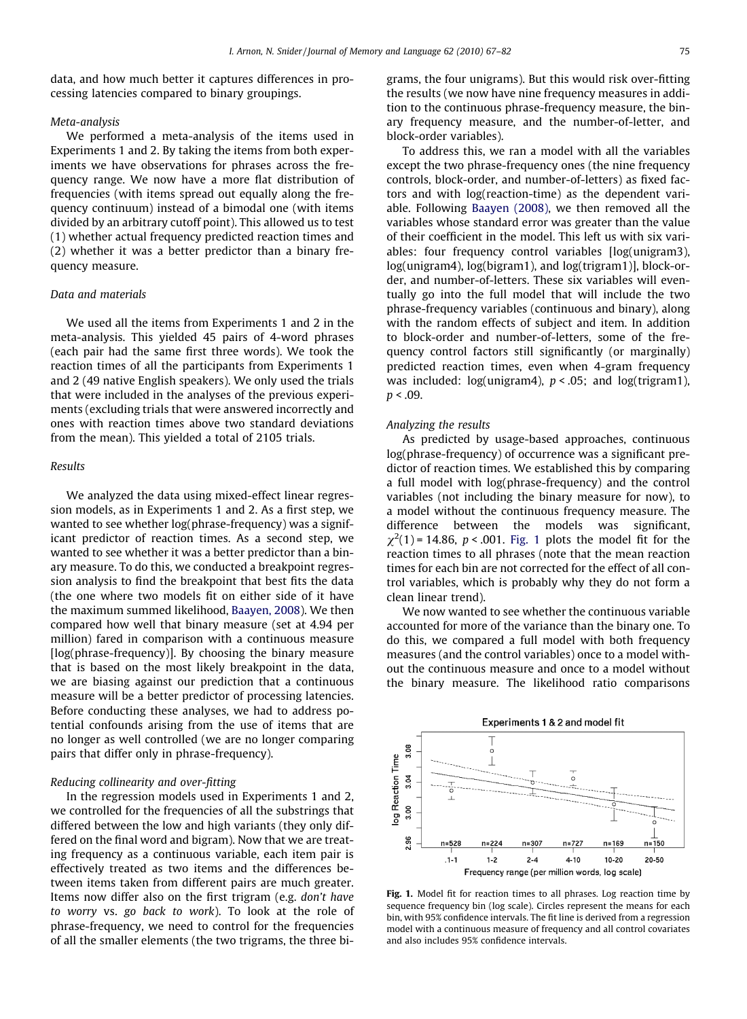data, and how much better it captures differences in processing latencies compared to binary groupings.

# Meta-analysis

We performed a meta-analysis of the items used in Experiments 1 and 2. By taking the items from both experiments we have observations for phrases across the frequency range. We now have a more flat distribution of frequencies (with items spread out equally along the frequency continuum) instead of a bimodal one (with items divided by an arbitrary cutoff point). This allowed us to test (1) whether actual frequency predicted reaction times and (2) whether it was a better predictor than a binary frequency measure.

#### Data and materials

We used all the items from Experiments 1 and 2 in the meta-analysis. This yielded 45 pairs of 4-word phrases (each pair had the same first three words). We took the reaction times of all the participants from Experiments 1 and 2 (49 native English speakers). We only used the trials that were included in the analyses of the previous experiments (excluding trials that were answered incorrectly and ones with reaction times above two standard deviations from the mean). This yielded a total of 2105 trials.

#### Results

We analyzed the data using mixed-effect linear regression models, as in Experiments 1 and 2. As a first step, we wanted to see whether log(phrase-frequency) was a significant predictor of reaction times. As a second step, we wanted to see whether it was a better predictor than a binary measure. To do this, we conducted a breakpoint regression analysis to find the breakpoint that best fits the data (the one where two models fit on either side of it have the maximum summed likelihood, [Baayen, 2008\)](#page-13-0). We then compared how well that binary measure (set at 4.94 per million) fared in comparison with a continuous measure [log(phrase-frequency)]. By choosing the binary measure that is based on the most likely breakpoint in the data, we are biasing against our prediction that a continuous measure will be a better predictor of processing latencies. Before conducting these analyses, we had to address potential confounds arising from the use of items that are no longer as well controlled (we are no longer comparing pairs that differ only in phrase-frequency).

#### Reducing collinearity and over-fitting

In the regression models used in Experiments 1 and 2, we controlled for the frequencies of all the substrings that differed between the low and high variants (they only differed on the final word and bigram). Now that we are treating frequency as a continuous variable, each item pair is effectively treated as two items and the differences between items taken from different pairs are much greater. Items now differ also on the first trigram (e.g. don't have to worry vs. go back to work). To look at the role of phrase-frequency, we need to control for the frequencies of all the smaller elements (the two trigrams, the three bigrams, the four unigrams). But this would risk over-fitting the results (we now have nine frequency measures in addition to the continuous phrase-frequency measure, the binary frequency measure, and the number-of-letter, and block-order variables).

To address this, we ran a model with all the variables except the two phrase-frequency ones (the nine frequency controls, block-order, and number-of-letters) as fixed factors and with log(reaction-time) as the dependent variable. Following [Baayen \(2008\),](#page-13-0) we then removed all the variables whose standard error was greater than the value of their coefficient in the model. This left us with six variables: four frequency control variables [log(unigram3), log(unigram4), log(bigram1), and log(trigram1)], block-order, and number-of-letters. These six variables will eventually go into the full model that will include the two phrase-frequency variables (continuous and binary), along with the random effects of subject and item. In addition to block-order and number-of-letters, some of the frequency control factors still significantly (or marginally) predicted reaction times, even when 4-gram frequency was included:  $log(unigram4)$ ,  $p < .05$ ; and  $log(trigram1)$ ,  $p < .09$ .

### Analyzing the results

As predicted by usage-based approaches, continuous log(phrase-frequency) of occurrence was a significant predictor of reaction times. We established this by comparing a full model with log(phrase-frequency) and the control variables (not including the binary measure for now), to a model without the continuous frequency measure. The difference between the models was significant,  $\chi^2(1)$  = 14.86, p < .001. Fig. 1 plots the model fit for the reaction times to all phrases (note that the mean reaction times for each bin are not corrected for the effect of all control variables, which is probably why they do not form a clean linear trend).

We now wanted to see whether the continuous variable accounted for more of the variance than the binary one. To do this, we compared a full model with both frequency measures (and the control variables) once to a model without the continuous measure and once to a model without the binary measure. The likelihood ratio comparisons



Fig. 1. Model fit for reaction times to all phrases. Log reaction time by sequence frequency bin (log scale). Circles represent the means for each bin, with 95% confidence intervals. The fit line is derived from a regression model with a continuous measure of frequency and all control covariates and also includes 95% confidence intervals.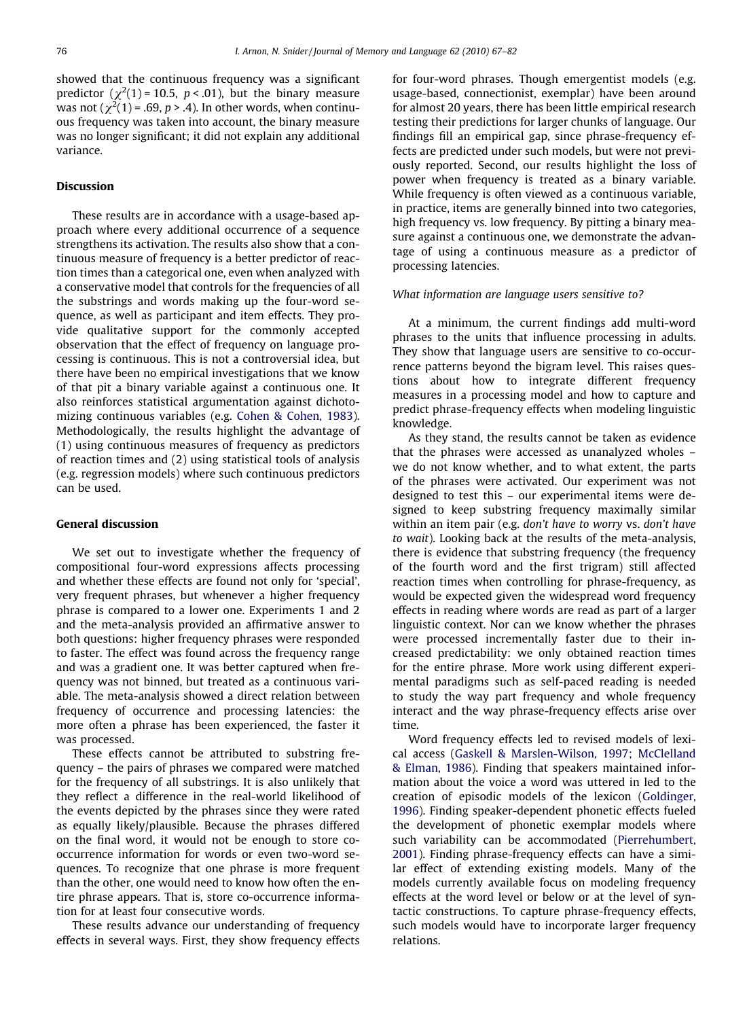showed that the continuous frequency was a significant predictor ( $\chi^2(1)$  = 10.5, p < .01), but the binary measure was not  $(\chi^2(1) = .69, p > .4)$ . In other words, when continuous frequency was taken into account, the binary measure was no longer significant; it did not explain any additional variance.

#### Discussion

These results are in accordance with a usage-based approach where every additional occurrence of a sequence strengthens its activation. The results also show that a continuous measure of frequency is a better predictor of reaction times than a categorical one, even when analyzed with a conservative model that controls for the frequencies of all the substrings and words making up the four-word sequence, as well as participant and item effects. They provide qualitative support for the commonly accepted observation that the effect of frequency on language processing is continuous. This is not a controversial idea, but there have been no empirical investigations that we know of that pit a binary variable against a continuous one. It also reinforces statistical argumentation against dichotomizing continuous variables (e.g. [Cohen & Cohen, 1983](#page-13-0)). Methodologically, the results highlight the advantage of (1) using continuous measures of frequency as predictors of reaction times and (2) using statistical tools of analysis (e.g. regression models) where such continuous predictors can be used.

# General discussion

We set out to investigate whether the frequency of compositional four-word expressions affects processing and whether these effects are found not only for 'special', very frequent phrases, but whenever a higher frequency phrase is compared to a lower one. Experiments 1 and 2 and the meta-analysis provided an affirmative answer to both questions: higher frequency phrases were responded to faster. The effect was found across the frequency range and was a gradient one. It was better captured when frequency was not binned, but treated as a continuous variable. The meta-analysis showed a direct relation between frequency of occurrence and processing latencies: the more often a phrase has been experienced, the faster it was processed.

These effects cannot be attributed to substring frequency – the pairs of phrases we compared were matched for the frequency of all substrings. It is also unlikely that they reflect a difference in the real-world likelihood of the events depicted by the phrases since they were rated as equally likely/plausible. Because the phrases differed on the final word, it would not be enough to store cooccurrence information for words or even two-word sequences. To recognize that one phrase is more frequent than the other, one would need to know how often the entire phrase appears. That is, store co-occurrence information for at least four consecutive words.

These results advance our understanding of frequency effects in several ways. First, they show frequency effects

for four-word phrases. Though emergentist models (e.g. usage-based, connectionist, exemplar) have been around for almost 20 years, there has been little empirical research testing their predictions for larger chunks of language. Our findings fill an empirical gap, since phrase-frequency effects are predicted under such models, but were not previously reported. Second, our results highlight the loss of power when frequency is treated as a binary variable. While frequency is often viewed as a continuous variable, in practice, items are generally binned into two categories, high frequency vs. low frequency. By pitting a binary measure against a continuous one, we demonstrate the advantage of using a continuous measure as a predictor of processing latencies.

#### What information are language users sensitive to?

At a minimum, the current findings add multi-word phrases to the units that influence processing in adults. They show that language users are sensitive to co-occurrence patterns beyond the bigram level. This raises questions about how to integrate different frequency measures in a processing model and how to capture and predict phrase-frequency effects when modeling linguistic knowledge.

As they stand, the results cannot be taken as evidence that the phrases were accessed as unanalyzed wholes – we do not know whether, and to what extent, the parts of the phrases were activated. Our experiment was not designed to test this – our experimental items were designed to keep substring frequency maximally similar within an item pair (e.g. don't have to worry vs. don't have to wait). Looking back at the results of the meta-analysis, there is evidence that substring frequency (the frequency of the fourth word and the first trigram) still affected reaction times when controlling for phrase-frequency, as would be expected given the widespread word frequency effects in reading where words are read as part of a larger linguistic context. Nor can we know whether the phrases were processed incrementally faster due to their increased predictability: we only obtained reaction times for the entire phrase. More work using different experimental paradigms such as self-paced reading is needed to study the way part frequency and whole frequency interact and the way phrase-frequency effects arise over time.

Word frequency effects led to revised models of lexical access ([Gaskell & Marslen-Wilson, 1997; McClelland](#page-14-0) [& Elman, 1986\)](#page-14-0). Finding that speakers maintained information about the voice a word was uttered in led to the creation of episodic models of the lexicon [\(Goldinger,](#page-14-0) [1996](#page-14-0)). Finding speaker-dependent phonetic effects fueled the development of phonetic exemplar models where such variability can be accommodated [\(Pierrehumbert,](#page-14-0) [2001](#page-14-0)). Finding phrase-frequency effects can have a similar effect of extending existing models. Many of the models currently available focus on modeling frequency effects at the word level or below or at the level of syntactic constructions. To capture phrase-frequency effects, such models would have to incorporate larger frequency relations.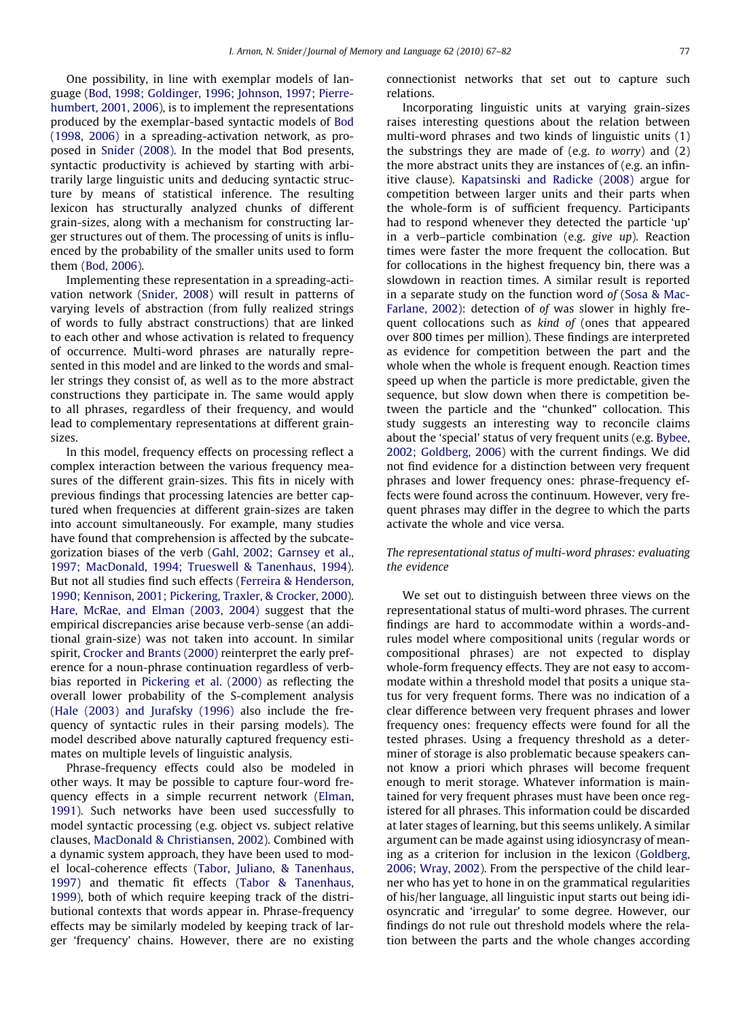One possibility, in line with exemplar models of language ([Bod, 1998; Goldinger, 1996; Johnson, 1997; Pierre](#page-13-0)[humbert, 2001, 2006\)](#page-13-0), is to implement the representations produced by the exemplar-based syntactic models of [Bod](#page-13-0) [\(1998, 2006\)](#page-13-0) in a spreading-activation network, as proposed in [Snider \(2008\).](#page-14-0) In the model that Bod presents, syntactic productivity is achieved by starting with arbitrarily large linguistic units and deducing syntactic structure by means of statistical inference. The resulting lexicon has structurally analyzed chunks of different grain-sizes, along with a mechanism for constructing larger structures out of them. The processing of units is influenced by the probability of the smaller units used to form them [\(Bod, 2006](#page-13-0)).

Implementing these representation in a spreading-activation network [\(Snider, 2008](#page-14-0)) will result in patterns of varying levels of abstraction (from fully realized strings of words to fully abstract constructions) that are linked to each other and whose activation is related to frequency of occurrence. Multi-word phrases are naturally represented in this model and are linked to the words and smaller strings they consist of, as well as to the more abstract constructions they participate in. The same would apply to all phrases, regardless of their frequency, and would lead to complementary representations at different grainsizes.

In this model, frequency effects on processing reflect a complex interaction between the various frequency measures of the different grain-sizes. This fits in nicely with previous findings that processing latencies are better captured when frequencies at different grain-sizes are taken into account simultaneously. For example, many studies have found that comprehension is affected by the subcategorization biases of the verb ([Gahl, 2002; Garnsey et al.,](#page-13-0) [1997; MacDonald, 1994; Trueswell & Tanenhaus, 1994](#page-13-0)). But not all studies find such effects [\(Ferreira & Henderson,](#page-13-0) [1990; Kennison, 2001; Pickering, Traxler, & Crocker, 2000](#page-13-0)). [Hare, McRae, and Elman \(2003, 2004\)](#page-14-0) suggest that the empirical discrepancies arise because verb-sense (an additional grain-size) was not taken into account. In similar spirit, [Crocker and Brants \(2000\)](#page-13-0) reinterpret the early preference for a noun-phrase continuation regardless of verbbias reported in [Pickering et al. \(2000\)](#page-14-0) as reflecting the overall lower probability of the S-complement analysis ([Hale \(2003\) and Jurafsky \(1996\)](#page-14-0) also include the frequency of syntactic rules in their parsing models). The model described above naturally captured frequency estimates on multiple levels of linguistic analysis.

Phrase-frequency effects could also be modeled in other ways. It may be possible to capture four-word frequency effects in a simple recurrent network [\(Elman,](#page-13-0) [1991\)](#page-13-0). Such networks have been used successfully to model syntactic processing (e.g. object vs. subject relative clauses, [MacDonald & Christiansen, 2002](#page-14-0)). Combined with a dynamic system approach, they have been used to model local-coherence effects [\(Tabor, Juliano, & Tanenhaus,](#page-14-0) [1997\)](#page-14-0) and thematic fit effects [\(Tabor & Tanenhaus,](#page-14-0) [1999\)](#page-14-0), both of which require keeping track of the distributional contexts that words appear in. Phrase-frequency effects may be similarly modeled by keeping track of larger 'frequency' chains. However, there are no existing connectionist networks that set out to capture such relations.

Incorporating linguistic units at varying grain-sizes raises interesting questions about the relation between multi-word phrases and two kinds of linguistic units (1) the substrings they are made of (e.g. to worry) and (2) the more abstract units they are instances of (e.g. an infinitive clause). [Kapatsinski and Radicke \(2008\)](#page-14-0) argue for competition between larger units and their parts when the whole-form is of sufficient frequency. Participants had to respond whenever they detected the particle 'up' in a verb–particle combination (e.g. give up). Reaction times were faster the more frequent the collocation. But for collocations in the highest frequency bin, there was a slowdown in reaction times. A similar result is reported in a separate study on the function word of ([Sosa & Mac-](#page-14-0)[Farlane, 2002\)](#page-14-0): detection of of was slower in highly frequent collocations such as kind of (ones that appeared over 800 times per million). These findings are interpreted as evidence for competition between the part and the whole when the whole is frequent enough. Reaction times speed up when the particle is more predictable, given the sequence, but slow down when there is competition between the particle and the ''chunked" collocation. This study suggests an interesting way to reconcile claims about the 'special' status of very frequent units (e.g. [Bybee,](#page-13-0) [2002; Goldberg, 2006\)](#page-13-0) with the current findings. We did not find evidence for a distinction between very frequent phrases and lower frequency ones: phrase-frequency effects were found across the continuum. However, very frequent phrases may differ in the degree to which the parts activate the whole and vice versa.

# The representational status of multi-word phrases: evaluating the evidence

We set out to distinguish between three views on the representational status of multi-word phrases. The current findings are hard to accommodate within a words-andrules model where compositional units (regular words or compositional phrases) are not expected to display whole-form frequency effects. They are not easy to accommodate within a threshold model that posits a unique status for very frequent forms. There was no indication of a clear difference between very frequent phrases and lower frequency ones: frequency effects were found for all the tested phrases. Using a frequency threshold as a determiner of storage is also problematic because speakers cannot know a priori which phrases will become frequent enough to merit storage. Whatever information is maintained for very frequent phrases must have been once registered for all phrases. This information could be discarded at later stages of learning, but this seems unlikely. A similar argument can be made against using idiosyncrasy of meaning as a criterion for inclusion in the lexicon ([Goldberg,](#page-14-0) [2006; Wray, 2002\)](#page-14-0). From the perspective of the child learner who has yet to hone in on the grammatical regularities of his/her language, all linguistic input starts out being idiosyncratic and 'irregular' to some degree. However, our findings do not rule out threshold models where the relation between the parts and the whole changes according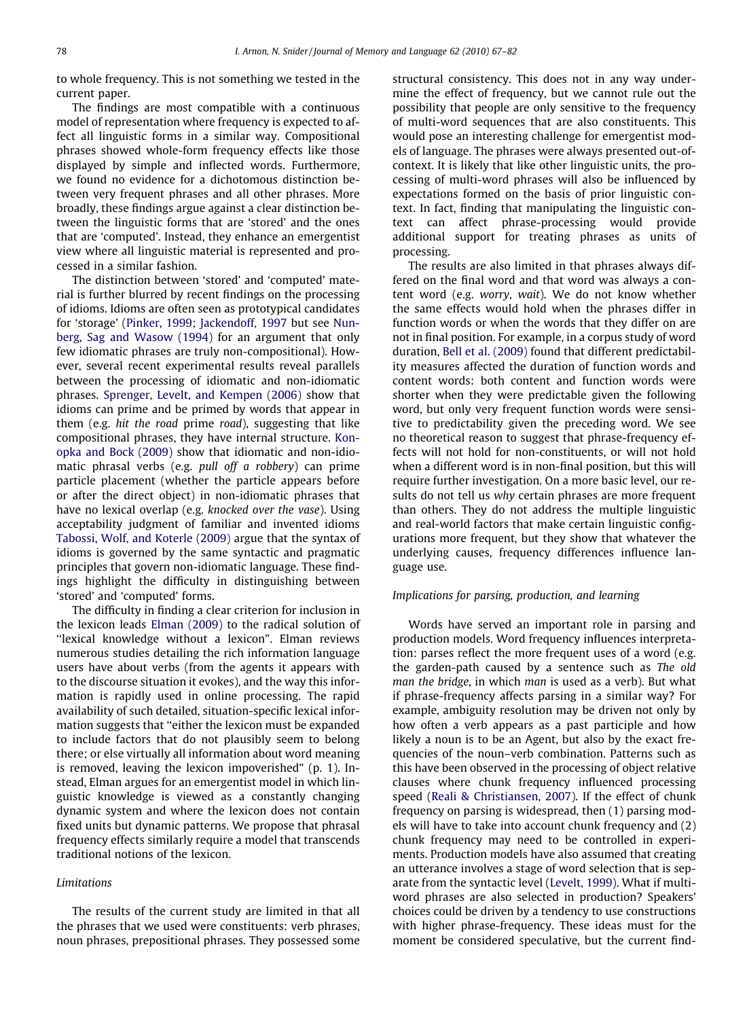to whole frequency. This is not something we tested in the current paper.

The findings are most compatible with a continuous model of representation where frequency is expected to affect all linguistic forms in a similar way. Compositional phrases showed whole-form frequency effects like those displayed by simple and inflected words. Furthermore, we found no evidence for a dichotomous distinction between very frequent phrases and all other phrases. More broadly, these findings argue against a clear distinction between the linguistic forms that are 'stored' and the ones that are 'computed'. Instead, they enhance an emergentist view where all linguistic material is represented and processed in a similar fashion.

The distinction between 'stored' and 'computed' material is further blurred by recent findings on the processing of idioms. Idioms are often seen as prototypical candidates for 'storage' [\(Pinker, 1999; Jackendoff, 1997](#page-14-0) but see [Nun](#page-14-0)[berg, Sag and Wasow \(1994\)](#page-14-0) for an argument that only few idiomatic phrases are truly non-compositional). However, several recent experimental results reveal parallels between the processing of idiomatic and non-idiomatic phrases. [Sprenger, Levelt, and Kempen \(2006\)](#page-14-0) show that idioms can prime and be primed by words that appear in them (e.g. hit the road prime road), suggesting that like compositional phrases, they have internal structure. [Kon](#page-14-0)[opka and Bock \(2009\)](#page-14-0) show that idiomatic and non-idiomatic phrasal verbs (e.g. pull off a robbery) can prime particle placement (whether the particle appears before or after the direct object) in non-idiomatic phrases that have no lexical overlap (e.g. knocked over the vase). Using acceptability judgment of familiar and invented idioms [Tabossi, Wolf, and Koterle \(2009\)](#page-15-0) argue that the syntax of idioms is governed by the same syntactic and pragmatic principles that govern non-idiomatic language. These findings highlight the difficulty in distinguishing between 'stored' and 'computed' forms.

The difficulty in finding a clear criterion for inclusion in the lexicon leads [Elman \(2009\)](#page-13-0) to the radical solution of ''lexical knowledge without a lexicon". Elman reviews numerous studies detailing the rich information language users have about verbs (from the agents it appears with to the discourse situation it evokes), and the way this information is rapidly used in online processing. The rapid availability of such detailed, situation-specific lexical information suggests that ''either the lexicon must be expanded to include factors that do not plausibly seem to belong there; or else virtually all information about word meaning is removed, leaving the lexicon impoverished" (p. 1). Instead, Elman argues for an emergentist model in which linguistic knowledge is viewed as a constantly changing dynamic system and where the lexicon does not contain fixed units but dynamic patterns. We propose that phrasal frequency effects similarly require a model that transcends traditional notions of the lexicon.

# Limitations

The results of the current study are limited in that all the phrases that we used were constituents: verb phrases, noun phrases, prepositional phrases. They possessed some

structural consistency. This does not in any way undermine the effect of frequency, but we cannot rule out the possibility that people are only sensitive to the frequency of multi-word sequences that are also constituents. This would pose an interesting challenge for emergentist models of language. The phrases were always presented out-ofcontext. It is likely that like other linguistic units, the processing of multi-word phrases will also be influenced by expectations formed on the basis of prior linguistic context. In fact, finding that manipulating the linguistic context can affect phrase-processing would provide additional support for treating phrases as units of processing.

The results are also limited in that phrases always differed on the final word and that word was always a content word (e.g. worry, wait). We do not know whether the same effects would hold when the phrases differ in function words or when the words that they differ on are not in final position. For example, in a corpus study of word duration, [Bell et al. \(2009\)](#page-13-0) found that different predictability measures affected the duration of function words and content words: both content and function words were shorter when they were predictable given the following word, but only very frequent function words were sensitive to predictability given the preceding word. We see no theoretical reason to suggest that phrase-frequency effects will not hold for non-constituents, or will not hold when a different word is in non-final position, but this will require further investigation. On a more basic level, our results do not tell us why certain phrases are more frequent than others. They do not address the multiple linguistic and real-world factors that make certain linguistic configurations more frequent, but they show that whatever the underlying causes, frequency differences influence language use.

#### Implications for parsing, production, and learning

Words have served an important role in parsing and production models. Word frequency influences interpretation: parses reflect the more frequent uses of a word (e.g. the garden-path caused by a sentence such as The old man the bridge, in which man is used as a verb). But what if phrase-frequency affects parsing in a similar way? For example, ambiguity resolution may be driven not only by how often a verb appears as a past participle and how likely a noun is to be an Agent, but also by the exact frequencies of the noun–verb combination. Patterns such as this have been observed in the processing of object relative clauses where chunk frequency influenced processing speed ([Reali & Christiansen, 2007\)](#page-14-0). If the effect of chunk frequency on parsing is widespread, then (1) parsing models will have to take into account chunk frequency and (2) chunk frequency may need to be controlled in experiments. Production models have also assumed that creating an utterance involves a stage of word selection that is separate from the syntactic level ([Levelt, 1999](#page-14-0)). What if multiword phrases are also selected in production? Speakers' choices could be driven by a tendency to use constructions with higher phrase-frequency. These ideas must for the moment be considered speculative, but the current find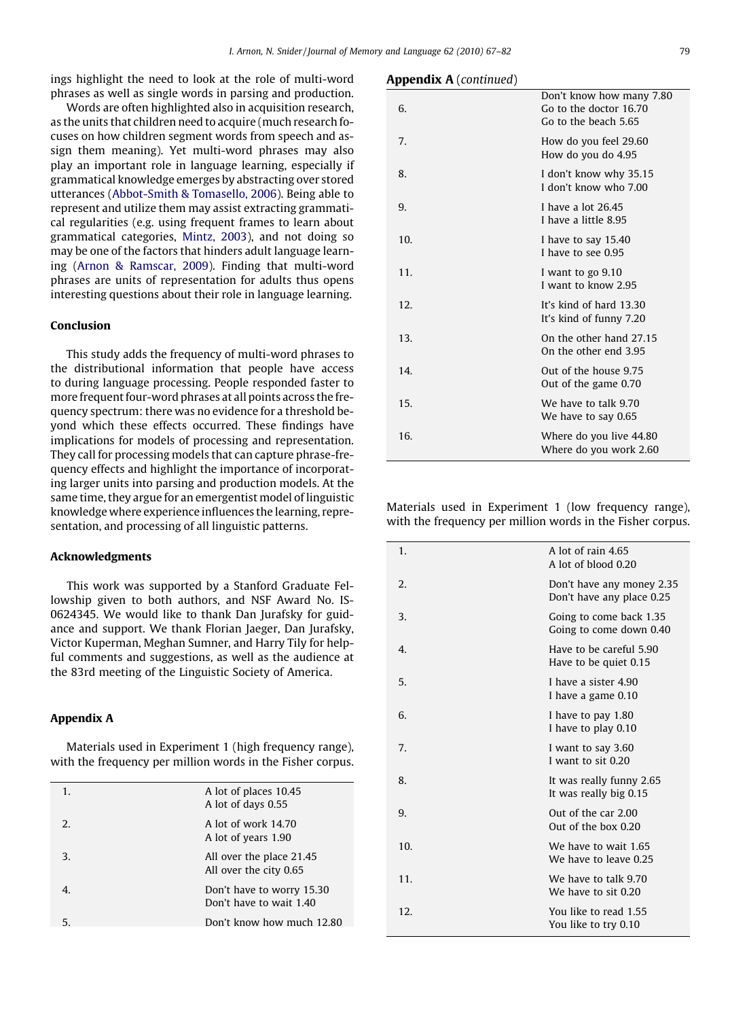ings highlight the need to look at the role of multi-word phrases as well as single words in parsing and production.

Words are often highlighted also in acquisition research, as the units that children need to acquire (much research focuses on how children segment words from speech and assign them meaning). Yet multi-word phrases may also play an important role in language learning, especially if grammatical knowledge emerges by abstracting over stored utterances ([Abbot-Smith & Tomasello, 2006\)](#page-13-0). Being able to represent and utilize them may assist extracting grammatical regularities (e.g. using frequent frames to learn about grammatical categories, [Mintz, 2003](#page-14-0)), and not doing so may be one of the factors that hinders adult language learning [\(Arnon & Ramscar, 2009](#page-13-0)). Finding that multi-word phrases are units of representation for adults thus opens interesting questions about their role in language learning.

#### Conclusion

This study adds the frequency of multi-word phrases to the distributional information that people have access to during language processing. People responded faster to more frequent four-word phrases at all points across the frequency spectrum: there was no evidence for a threshold beyond which these effects occurred. These findings have implications for models of processing and representation. They call for processing models that can capture phrase-frequency effects and highlight the importance of incorporating larger units into parsing and production models. At the same time, they argue for an emergentist model of linguistic knowledge where experience influences the learning, representation, and processing of all linguistic patterns.

# Acknowledgments

This work was supported by a Stanford Graduate Fellowship given to both authors, and NSF Award No. IS-0624345. We would like to thank Dan Jurafsky for guidance and support. We thank Florian Jaeger, Dan Jurafsky, Victor Kuperman, Meghan Sumner, and Harry Tily for helpful comments and suggestions, as well as the audience at the 83rd meeting of the Linguistic Society of America.

# Appendix A

Materials used in Experiment 1 (high frequency range), with the frequency per million words in the Fisher corpus.

| 1. | A lot of places 10.45<br>A lot of days 0.55          |
|----|------------------------------------------------------|
| 2. | A lot of work 14.70<br>A lot of years 1.90           |
| 3. | All over the place 21.45<br>All over the city 0.65   |
|    | Don't have to worry 15.30<br>Don't have to wait 1.40 |
| 5. | Don't know how much 12.80                            |

# Appendix A (continued)

| 6.  | Don't know how many 7.80<br>Go to the doctor 16.70<br>Go to the beach 5.65 |
|-----|----------------------------------------------------------------------------|
| 7.  | How do you feel 29.60<br>How do you do 4.95                                |
| 8.  | I don't know why 35.15<br>I don't know who 7.00                            |
| 9.  | I have a lot 26.45<br>I have a little 8.95                                 |
| 10. | I have to say 15.40<br>I have to see 0.95                                  |
| 11. | I want to go 9.10<br>I want to know 2.95                                   |
| 12. | It's kind of hard 13.30<br>It's kind of funny 7.20                         |
| 13. | On the other hand 27.15<br>On the other end 3.95                           |
| 14. | Out of the house 9.75<br>Out of the game 0.70                              |
| 15. | We have to talk 9.70<br>We have to say 0.65                                |
| 16. | Where do you live 44.80<br>Where do you work 2.60                          |

Materials used in Experiment 1 (low frequency range), with the frequency per million words in the Fisher corpus.

| 1.  | A lot of rain 4.65<br>A lot of blood 0.20              |
|-----|--------------------------------------------------------|
| 2.  | Don't have any money 2.35<br>Don't have any place 0.25 |
| 3.  | Going to come back 1.35<br>Going to come down 0.40     |
| 4.  | Have to be careful 5.90<br>Have to be quiet 0.15       |
| 5.  | I have a sister 4.90<br>I have a game 0.10             |
| 6.  | I have to pay 1.80<br>I have to play 0.10              |
| 7.  | I want to say 3.60<br>I want to sit 0.20               |
| 8.  | It was really funny 2.65<br>It was really big 0.15     |
| 9.  | Out of the car 2.00<br>Out of the box 0.20             |
| 10. | We have to wait 1.65<br>We have to leave 0.25          |
| 11. | We have to talk 9.70<br>We have to sit 0.20            |
| 12. | You like to read 1.55<br>You like to try 0.10          |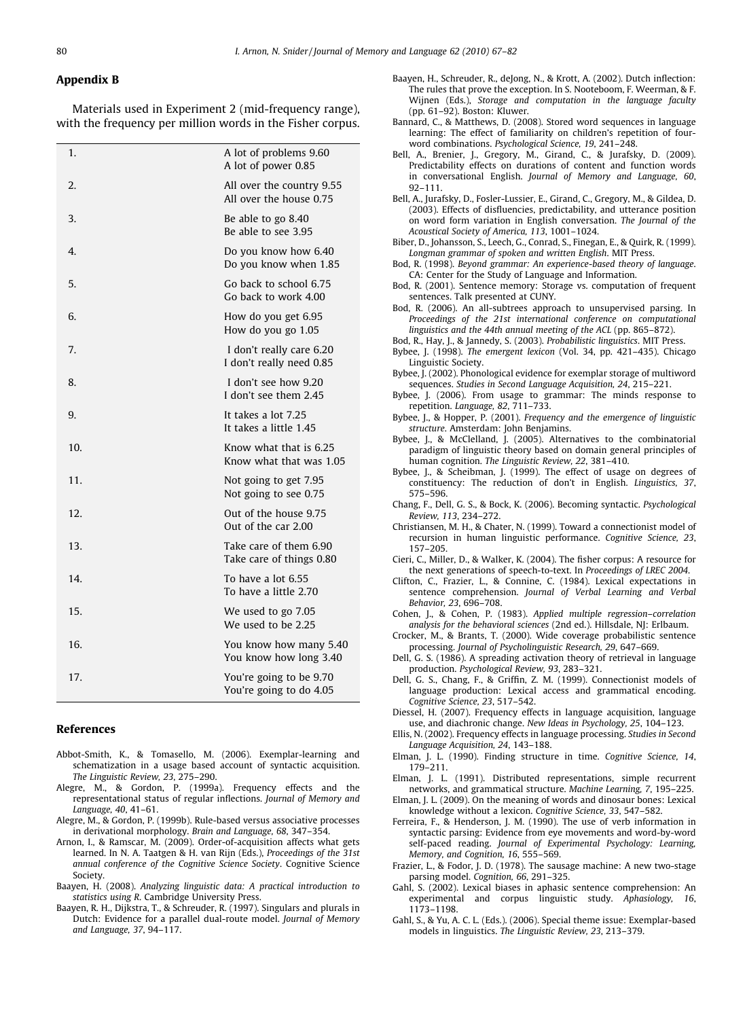#### <span id="page-13-0"></span>Appendix B

Materials used in Experiment 2 (mid-frequency range), with the frequency per million words in the Fisher corpus.

| 1.               | A lot of problems 9.60<br>A lot of power 0.85        |
|------------------|------------------------------------------------------|
| 2.               | All over the country 9.55<br>All over the house 0.75 |
| 3.               | Be able to go 8.40<br>Be able to see 3.95            |
| $\overline{4}$ . | Do you know how 6.40<br>Do you know when 1.85        |
| 5.               | Go back to school 6.75<br>Go back to work 4.00       |
| 6.               | How do you get 6.95<br>How do you go 1.05            |
| 7.               | I don't really care 6.20<br>I don't really need 0.85 |
| 8.               | I don't see how 9.20<br>I don't see them 2.45        |
| 9.               | It takes a lot 7.25<br>It takes a little 1.45        |
| 10.              | Know what that is 6.25<br>Know what that was 1.05    |
| 11.              | Not going to get 7.95<br>Not going to see 0.75       |
| 12.              | Out of the house 9.75<br>Out of the car 2.00         |
| 13.              | Take care of them 6.90<br>Take care of things 0.80   |
| 14.              | To have a lot 6.55<br>To have a little 2.70          |
| 15.              | We used to go 7.05<br>We used to be 2.25             |
| 16.              | You know how many 5.40<br>You know how long 3.40     |
| 17.              | You're going to be 9.70<br>You're going to do 4.05   |
|                  |                                                      |

#### References

- Abbot-Smith, K., & Tomasello, M. (2006). Exemplar-learning and schematization in a usage based account of syntactic acquisition. The Linguistic Review, 23, 275–290.
- Alegre, M., & Gordon, P. (1999a). Frequency effects and the representational status of regular inflections. Journal of Memory and Language, 40, 41–61.
- Alegre, M., & Gordon, P. (1999b). Rule-based versus associative processes in derivational morphology. Brain and Language, 68, 347–354.
- Arnon, I., & Ramscar, M. (2009). Order-of-acquisition affects what gets learned. In N. A. Taatgen & H. van Rijn (Eds.), Proceedings of the 31st annual conference of the Cognitive Science Society. Cognitive Science Society.
- Baayen, H. (2008). Analyzing linguistic data: A practical introduction to statistics using R. Cambridge University Press.
- Baayen, R. H., Dijkstra, T., & Schreuder, R. (1997). Singulars and plurals in Dutch: Evidence for a parallel dual-route model. Journal of Memory and Language, 37, 94–117.
- Baayen, H., Schreuder, R., deJong, N., & Krott, A. (2002). Dutch inflection: The rules that prove the exception. In S. Nooteboom, F. Weerman, & F. Wijnen (Eds.), Storage and computation in the language faculty (pp. 61–92). Boston: Kluwer.
- Bannard, C., & Matthews, D. (2008). Stored word sequences in language learning: The effect of familiarity on children's repetition of fourword combinations. Psychological Science, 19, 241–248.
- Bell, A., Brenier, J., Gregory, M., Girand, C., & Jurafsky, D. (2009). Predictability effects on durations of content and function words in conversational English. Journal of Memory and Language, 60, 92–111.
- Bell, A., Jurafsky, D., Fosler-Lussier, E., Girand, C., Gregory, M., & Gildea, D. (2003). Effects of disfluencies, predictability, and utterance position on word form variation in English conversation. The Journal of the Acoustical Society of America, 113, 1001–1024.
- Biber, D., Johansson, S., Leech, G., Conrad, S., Finegan, E., & Quirk, R. (1999). Longman grammar of spoken and written English. MIT Press.
- Bod, R. (1998). Beyond grammar: An experience-based theory of language. CA: Center for the Study of Language and Information.
- Bod, R. (2001). Sentence memory: Storage vs. computation of frequent sentences. Talk presented at CUNY.
- Bod, R. (2006). An all-subtrees approach to unsupervised parsing. In Proceedings of the 21st international conference on computational linguistics and the 44th annual meeting of the ACL (pp. 865–872).
- Bod, R., Hay, J., & Jannedy, S. (2003). Probabilistic linguistics. MIT Press.
- Bybee, J. (1998). The emergent lexicon (Vol. 34, pp. 421–435). Chicago Linguistic Society.
- Bybee, J. (2002). Phonological evidence for exemplar storage of multiword sequences. Studies in Second Language Acquisition, 24, 215–221.
- Bybee, J. (2006). From usage to grammar: The minds response to repetition. Language, 82, 711–733.
- Bybee, J., & Hopper, P. (2001). Frequency and the emergence of linguistic structure. Amsterdam: John Benjamins.
- Bybee, J., & McClelland, J. (2005). Alternatives to the combinatorial paradigm of linguistic theory based on domain general principles of human cognition. The Linguistic Review, 22, 381–410.

Bybee, J., & Scheibman, J. (1999). The effect of usage on degrees of constituency: The reduction of don't in English. Linguistics, 37, 575–596.

Chang, F., Dell, G. S., & Bock, K. (2006). Becoming syntactic. Psychological Review, 113, 234–272.

Christiansen, M. H., & Chater, N. (1999). Toward a connectionist model of recursion in human linguistic performance. Cognitive Science, 23, 157–205.

- Cieri, C., Miller, D., & Walker, K. (2004). The fisher corpus: A resource for the next generations of speech-to-text. In Proceedings of LREC 2004.
- Clifton, C., Frazier, L., & Connine, C. (1984). Lexical expectations in sentence comprehension. Journal of Verbal Learning and Verbal Behavior, 23, 696–708.
- Cohen, J., & Cohen, P. (1983). Applied multiple regression–correlation analysis for the behavioral sciences (2nd ed.). Hillsdale, NJ: Erlbaum.
- Crocker, M., & Brants, T. (2000). Wide coverage probabilistic sentence processing. Journal of Psycholinguistic Research, 29, 647–669.
- Dell, G. S. (1986). A spreading activation theory of retrieval in language production. Psychological Review, 93, 283–321.
- Dell, G. S., Chang, F., & Griffin, Z. M. (1999). Connectionist models of language production: Lexical access and grammatical encoding. Cognitive Science, 23, 517–542.
- Diessel, H. (2007). Frequency effects in language acquisition, language use, and diachronic change. New Ideas in Psychology, 25, 104–123.
- Ellis, N. (2002). Frequency effects in language processing. Studies in Second Language Acquisition, 24, 143–188.
- Elman, J. L. (1990). Finding structure in time. Cognitive Science, 14, 179–211.
- Elman, J. L. (1991). Distributed representations, simple recurrent networks, and grammatical structure. Machine Learning, 7, 195–225.
- Elman, J. L. (2009). On the meaning of words and dinosaur bones: Lexical knowledge without a lexicon. Cognitive Science, 33, 547–582.
- Ferreira, F., & Henderson, J. M. (1990). The use of verb information in syntactic parsing: Evidence from eye movements and word-by-word self-paced reading. Journal of Experimental Psychology: Learning, Memory, and Cognition, 16, 555–569.
- Frazier, L., & Fodor, J. D. (1978). The sausage machine: A new two-stage parsing model. Cognition, 66, 291–325.
- Gahl, S. (2002). Lexical biases in aphasic sentence comprehension: An experimental and corpus linguistic study. Aphasiology, 16, 1173–1198.
- Gahl, S., & Yu, A. C. L. (Eds.). (2006). Special theme issue: Exemplar-based models in linguistics. The Linguistic Review, 23, 213–379.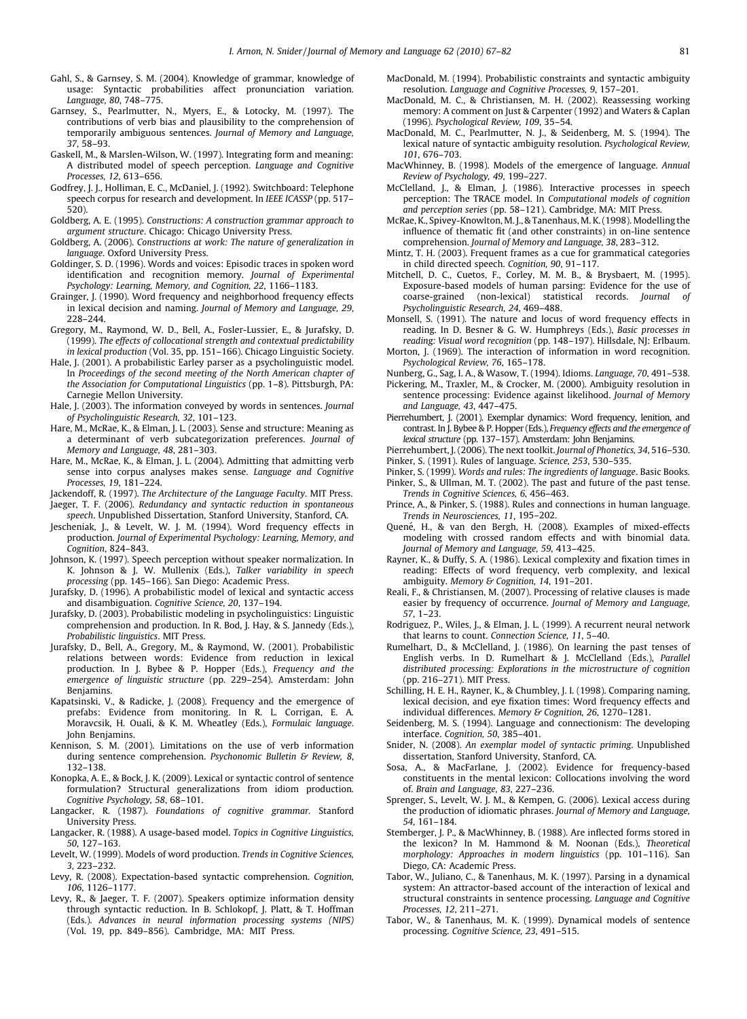- <span id="page-14-0"></span>Gahl, S., & Garnsey, S. M. (2004). Knowledge of grammar, knowledge of usage: Syntactic probabilities affect pronunciation variation. Language, 80, 748–775.
- Garnsey, S., Pearlmutter, N., Myers, E., & Lotocky, M. (1997). The contributions of verb bias and plausibility to the comprehension of temporarily ambiguous sentences. Journal of Memory and Language, 37, 58–93.
- Gaskell, M., & Marslen-Wilson, W. (1997). Integrating form and meaning: A distributed model of speech perception. Language and Cognitive Processes, 12, 613–656.
- Godfrey, J. J., Holliman, E. C., McDaniel, J. (1992). Switchboard: Telephone speech corpus for research and development. In IEEE ICASSP (pp. 517– 520).
- Goldberg, A. E. (1995). Constructions: A construction grammar approach to argument structure. Chicago: Chicago University Press.
- Goldberg, A. (2006). Constructions at work: The nature of generalization in language. Oxford University Press.
- Goldinger, S. D. (1996). Words and voices: Episodic traces in spoken word identification and recognition memory. Journal of Experimental Psychology: Learning, Memory, and Cognition, 22, 1166–1183.
- Grainger, J. (1990). Word frequency and neighborhood frequency effects in lexical decision and naming. Journal of Memory and Language, 29, 228–244.
- Gregory, M., Raymond, W. D., Bell, A., Fosler-Lussier, E., & Jurafsky, D. (1999). The effects of collocational strength and contextual predictability in lexical production (Vol. 35, pp. 151–166). Chicago Linguistic Society.
- Hale, J. (2001). A probabilistic Earley parser as a psycholinguistic model. In Proceedings of the second meeting of the North American chapter of the Association for Computational Linguistics (pp. 1–8). Pittsburgh, PA: Carnegie Mellon University.
- Hale, J. (2003). The information conveyed by words in sentences. Journal of Psycholinguistic Research, 32, 101–123.
- Hare, M., McRae, K., & Elman, J. L. (2003). Sense and structure: Meaning as a determinant of verb subcategorization preferences. Journal of Memory and Language, 48, 281–303.
- Hare, M., McRae, K., & Elman, J. L. (2004). Admitting that admitting verb sense into corpus analyses makes sense. Language and Cognitive Processes, 19, 181–224.
- Jackendoff, R. (1997). The Architecture of the Language Faculty. MIT Press. Jaeger, T. F. (2006). Redundancy and syntactic reduction in spontaneous
- speech. Unpublished Dissertation, Stanford University, Stanford, CA.
- Jescheniak, J., & Levelt, W. J. M. (1994). Word frequency effects in production. Journal of Experimental Psychology: Learning, Memory, and Cognition, 824–843.
- Johnson, K. (1997). Speech perception without speaker normalization. In K. Johnson & J. W. Mullenix (Eds.), Talker variability in speech processing (pp. 145–166). San Diego: Academic Press.
- Jurafsky, D. (1996). A probabilistic model of lexical and syntactic access and disambiguation. Cognitive Science, 20, 137–194.
- Jurafsky, D. (2003). Probabilistic modeling in psycholinguistics: Linguistic comprehension and production. In R. Bod, J. Hay, & S. Jannedy (Eds.), Probabilistic linguistics. MIT Press.
- Jurafsky, D., Bell, A., Gregory, M., & Raymond, W. (2001). Probabilistic relations between words: Evidence from reduction in lexical production. In J. Bybee & P. Hopper (Eds.), Frequency and the emergence of linguistic structure (pp. 229–254). Amsterdam: John Benjamins.
- Kapatsinski, V., & Radicke, J. (2008). Frequency and the emergence of prefabs: Evidence from monitoring. In R. L. Corrigan, E. A. Moravcsik, H. Ouali, & K. M. Wheatley (Eds.), Formulaic language. John Benjamins.
- Kennison, S. M. (2001). Limitations on the use of verb information during sentence comprehension. Psychonomic Bulletin & Review, 8, 132–138.
- Konopka, A. E., & Bock, J. K. (2009). Lexical or syntactic control of sentence formulation? Structural generalizations from idiom production. Cognitive Psychology, 58, 68–101.
- Langacker, R. (1987). Foundations of cognitive grammar. Stanford University Press.
- Langacker, R. (1988). A usage-based model. Topics in Cognitive Linguistics, 50, 127–163.
- Levelt, W. (1999). Models of word production. Trends in Cognitive Sciences, 3, 223–232.
- Levy, R. (2008). Expectation-based syntactic comprehension. Cognition, 106, 1126–1177.
- Levy, R., & Jaeger, T. F. (2007). Speakers optimize information density through syntactic reduction. In B. Schlokopf, J. Platt, & T. Hoffman (Eds.). Advances in neural information processing systems (NIPS) (Vol. 19, pp. 849–856). Cambridge, MA: MIT Press.
- MacDonald, M. (1994). Probabilistic constraints and syntactic ambiguity resolution. Language and Cognitive Processes, 9, 157–201.
- MacDonald, M. C., & Christiansen, M. H. (2002). Reassessing working memory: A comment on Just & Carpenter (1992) and Waters & Caplan (1996). Psychological Review, 109, 35–54.
- MacDonald, M. C., Pearlmutter, N. J., & Seidenberg, M. S. (1994). The lexical nature of syntactic ambiguity resolution. Psychological Review, 101, 676–703.
- MacWhinney, B. (1998). Models of the emergence of language. Annual Review of Psychology, 49, 199–227.
- McClelland, J., & Elman, J. (1986). Interactive processes in speech perception: The TRACE model. In Computational models of cognition and perception series (pp. 58–121). Cambridge, MA: MIT Press.
- McRae, K., Spivey-Knowlton, M. J., & Tanenhaus, M. K. (1998). Modelling the influence of thematic fit (and other constraints) in on-line sentence comprehension. Journal of Memory and Language, 38, 283–312.
- Mintz, T. H. (2003). Frequent frames as a cue for grammatical categories in child directed speech. Cognition, 90, 91–117.
- Mitchell, D. C., Cuetos, F., Corley, M. M. B., & Brysbaert, M. (1995). Exposure-based models of human parsing: Evidence for the use of coarse-grained (non-lexical) statistical records. Journal of Psycholinguistic Research, 24, 469–488.
- Monsell, S. (1991). The nature and locus of word frequency effects in reading. In D. Besner & G. W. Humphreys (Eds.), Basic processes in reading: Visual word recognition (pp. 148–197). Hillsdale, NJ: Erlbaum.
- Morton, J. (1969). The interaction of information in word recognition. Psychological Review, 76, 165–178.
- Nunberg, G., Sag, I. A., & Wasow, T. (1994). Idioms. Language, 70, 491–538.
- Pickering, M., Traxler, M., & Crocker, M. (2000). Ambiguity resolution in sentence processing: Evidence against likelihood. Journal of Memory and Language, 43, 447–475.
- Pierrehumbert, J. (2001). Exemplar dynamics: Word frequency, lenition, and contrast. In J. Bybee & P. Hopper (Eds.), Frequency effects and the emergence of lexical structure (pp. 137–157). Amsterdam: John Benjamins.
- Pierrehumbert, J. (2006). The next toolkit. Journal of Phonetics, 34, 516–530. Pinker, S. (1991). Rules of language. Science, 253, 530–535.
- Pinker, S. (1999). Words and rules: The ingredients of language. Basic Books.
- Pinker, S., & Ullman, M. T. (2002). The past and future of the past tense. Trends in Cognitive Sciences, 6, 456–463.
- Prince, A., & Pinker, S. (1988). Rules and connections in human language. Trends in Neurosciences, 11, 195–202.
- Quené, H., & van den Bergh, H. (2008). Examples of mixed-effects modeling with crossed random effects and with binomial data. Journal of Memory and Language, 59, 413–425.
- Rayner, K., & Duffy, S. A. (1986). Lexical complexity and fixation times in reading: Effects of word frequency, verb complexity, and lexical ambiguity. Memory & Cognition, 14, 191-201.
- Reali, F., & Christiansen, M. (2007). Processing of relative clauses is made easier by frequency of occurrence. Journal of Memory and Language, 57, 1–23.
- Rodriguez, P., Wiles, J., & Elman, J. L. (1999). A recurrent neural network that learns to count. Connection Science, 11, 5–40.
- Rumelhart, D., & McClelland, J. (1986). On learning the past tenses of English verbs. In D. Rumelhart & J. McClelland (Eds.), Parallel distributed processing: Explorations in the microstructure of cognition (pp. 216–271). MIT Press.
- Schilling, H. E. H., Rayner, K., & Chumbley, J. I. (1998). Comparing naming, lexical decision, and eye fixation times: Word frequency effects and individual differences. Memory & Cognition, 26, 1270–1281.
- Seidenberg, M. S. (1994). Language and connectionism: The developing interface. Cognition, 50, 385–401.
- Snider, N. (2008). An exemplar model of syntactic priming. Unpublished dissertation, Stanford University, Stanford, CA.
- Sosa, A., & MacFarlane, J. (2002). Evidence for frequency-based constituents in the mental lexicon: Collocations involving the word of. Brain and Language, 83, 227–236.
- Sprenger, S., Levelt, W. J. M., & Kempen, G. (2006). Lexical access during the production of idiomatic phrases. Journal of Memory and Language, 54, 161–184.
- Stemberger, J. P., & MacWhinney, B. (1988). Are inflected forms stored in the lexicon? In M. Hammond & M. Noonan (Eds.), Theoretical morphology: Approaches in modern linguistics (pp. 101–116). San Diego, CA: Academic Press.
- Tabor, W., Juliano, C., & Tanenhaus, M. K. (1997). Parsing in a dynamical system: An attractor-based account of the interaction of lexical and structural constraints in sentence processing. Language and Cognitive Processes, 12, 211–271.
- Tabor, W., & Tanenhaus, M. K. (1999). Dynamical models of sentence processing. Cognitive Science, 23, 491–515.